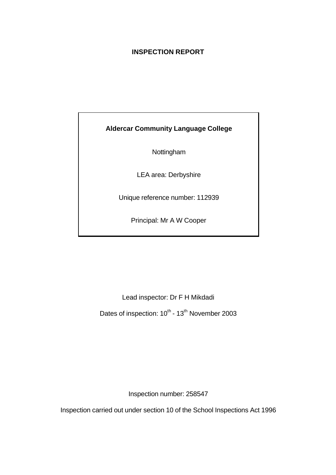# **INSPECTION REPORT**

# **Aldercar Community Language College**

Nottingham

LEA area: Derbyshire

Unique reference number: 112939

Principal: Mr A W Cooper

Lead inspector: Dr F H Mikdadi

Dates of inspection: 10<sup>th</sup> - 13<sup>th</sup> November 2003

Inspection number: 258547

Inspection carried out under section 10 of the School Inspections Act 1996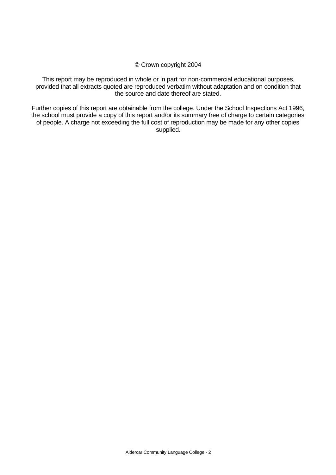## © Crown copyright 2004

This report may be reproduced in whole or in part for non-commercial educational purposes, provided that all extracts quoted are reproduced verbatim without adaptation and on condition that the source and date thereof are stated.

Further copies of this report are obtainable from the college. Under the School Inspections Act 1996, the school must provide a copy of this report and/or its summary free of charge to certain categories of people. A charge not exceeding the full cost of reproduction may be made for any other copies supplied.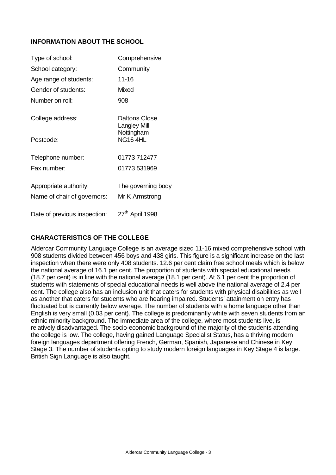## **INFORMATION ABOUT THE SCHOOL**

| Type of school:              | Comprehensive                        |
|------------------------------|--------------------------------------|
| School category:             | Community                            |
| Age range of students:       | 11-16                                |
| Gender of students:          | Mixed                                |
| Number on roll:              | 908                                  |
| College address:             | Daltons Close<br><b>Langley Mill</b> |
| Postcode:                    | Nottingham<br><b>NG16 4HL</b>        |
| Telephone number:            | 01773 712477                         |
| Fax number:                  | 01773 531969                         |
| Appropriate authority:       | The governing body                   |
| Name of chair of governors:  | Mr K Armstrong                       |
| Date of previous inspection: | 27 <sup>th</sup> April 1998          |

# **CHARACTERISTICS OF THE COLLEGE**

Aldercar Community Language College is an average sized 11-16 mixed comprehensive school with 908 students divided between 456 boys and 438 girls. This figure is a significant increase on the last inspection when there were only 408 students. 12.6 per cent claim free school meals which is below the national average of 16.1 per cent. The proportion of students with special educational needs (18.7 per cent) is in line with the national average (18.1 per cent). At 6.1 per cent the proportion of students with statements of special educational needs is well above the national average of 2.4 per cent. The college also has an inclusion unit that caters for students with physical disabilities as well as another that caters for students who are hearing impaired. Students' attainment on entry has fluctuated but is currently below average. The number of students with a home language other than English is very small (0.03 per cent). The college is predominantly white with seven students from an ethnic minority background. The immediate area of the college, where most students live, is relatively disadvantaged. The socio-economic background of the majority of the students attending the college is low. The college, having gained Language Specialist Status, has a thriving modern foreign languages department offering French, German, Spanish, Japanese and Chinese in Key Stage 3. The number of students opting to study modern foreign languages in Key Stage 4 is large. British Sign Language is also taught.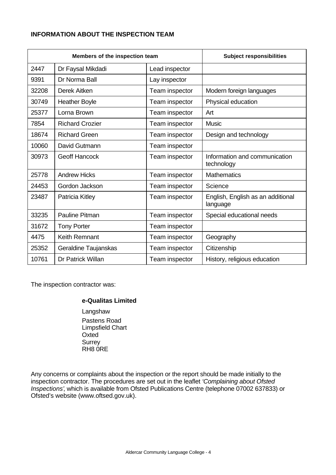## **INFORMATION ABOUT THE INSPECTION TEAM**

| Members of the inspection team |                                     |                | <b>Subject responsibilities</b>               |
|--------------------------------|-------------------------------------|----------------|-----------------------------------------------|
| 2447                           | Dr Faysal Mikdadi<br>Lead inspector |                |                                               |
| 9391                           | Dr Norma Ball<br>Lay inspector      |                |                                               |
| 32208                          | Derek Aitken                        | Team inspector | Modern foreign languages                      |
| 30749                          | <b>Heather Boyle</b>                | Team inspector | Physical education                            |
| 25377                          | Lorna Brown                         | Team inspector | Art                                           |
| 7854                           | <b>Richard Crozier</b>              | Team inspector | <b>Music</b>                                  |
| 18674                          | <b>Richard Green</b>                | Team inspector | Design and technology                         |
| 10060                          | David Gutmann                       | Team inspector |                                               |
| 30973                          | <b>Geoff Hancock</b>                | Team inspector | Information and communication<br>technology   |
| 25778                          | <b>Andrew Hicks</b>                 | Team inspector | <b>Mathematics</b>                            |
| 24453                          | Gordon Jackson                      | Team inspector | Science                                       |
| 23487                          | Patricia Kitley                     | Team inspector | English, English as an additional<br>language |
| 33235                          | <b>Pauline Pitman</b>               | Team inspector | Special educational needs                     |
| 31672                          | <b>Tony Porter</b>                  | Team inspector |                                               |
| 4475                           | <b>Keith Remnant</b>                | Team inspector | Geography                                     |
| 25352                          | Geraldine Taujanskas                | Team inspector | Citizenship                                   |
| 10761                          | Dr Patrick Willan                   | Team inspector | History, religious education                  |

The inspection contractor was:

## **e-Qualitas Limited**

Langshaw Pastens Road Limpsfield Chart **Oxted Surrey** RH8 0RE

Any concerns or complaints about the inspection or the report should be made initially to the inspection contractor. The procedures are set out in the leaflet *'Complaining about Ofsted Inspections'*, which is available from Ofsted Publications Centre (telephone 07002 637833) or Ofsted's website (www.oftsed.gov.uk).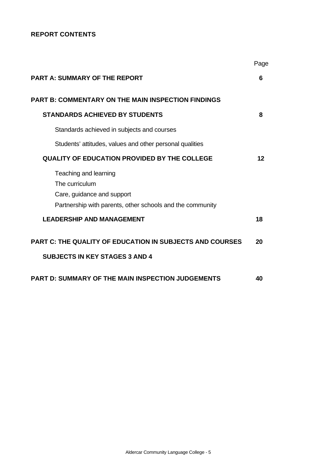# **REPORT CONTENTS**

|                                                                                                          | Page |
|----------------------------------------------------------------------------------------------------------|------|
| <b>PART A: SUMMARY OF THE REPORT</b>                                                                     | 6    |
| <b>PART B: COMMENTARY ON THE MAIN INSPECTION FINDINGS</b>                                                |      |
| <b>STANDARDS ACHIEVED BY STUDENTS</b>                                                                    | 8    |
| Standards achieved in subjects and courses                                                               |      |
| Students' attitudes, values and other personal qualities                                                 |      |
| <b>QUALITY OF EDUCATION PROVIDED BY THE COLLEGE</b>                                                      | 12   |
| Teaching and learning<br>The curriculum<br>Care, guidance and support                                    |      |
| Partnership with parents, other schools and the community<br><b>LEADERSHIP AND MANAGEMENT</b>            | 18   |
| <b>PART C: THE QUALITY OF EDUCATION IN SUBJECTS AND COURSES</b><br><b>SUBJECTS IN KEY STAGES 3 AND 4</b> | 20   |
| <b>PART D: SUMMARY OF THE MAIN INSPECTION JUDGEMENTS</b>                                                 | 40   |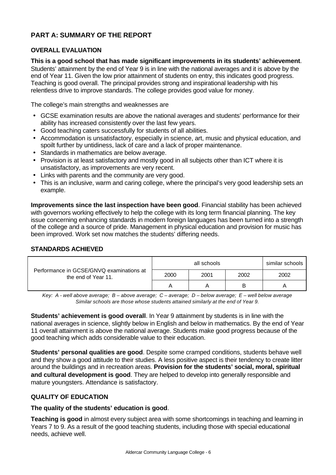# **PART A: SUMMARY OF THE REPORT**

## **OVERALL EVALUATION**

**This is a good school that has made significant improvements in its students' achievement**. Students' attainment by the end of Year 9 is in line with the national averages and it is above by the end of Year 11. Given the low prior attainment of students on entry, this indicates good progress. Teaching is good overall. The principal provides strong and inspirational leadership with his relentless drive to improve standards. The college provides good value for money.

The college's main strengths and weaknesses are

- GCSE examination results are above the national averages and students' performance for their ability has increased consistently over the last few years.
- Good teaching caters successfully for students of all abilities.
- Accommodation is unsatisfactory, especially in science, art, music and physical education, and spoilt further by untidiness, lack of care and a lack of proper maintenance.
- Standards in mathematics are below average.
- Provision is at least satisfactory and mostly good in all subjects other than ICT where it is unsatisfactory, as improvements are very recent.
- Links with parents and the community are very good.
- This is an inclusive, warm and caring college, where the principal's very good leadership sets an example.

**Improvements since the last inspection have been good**. Financial stability has been achieved with governors working effectively to help the college with its long term financial planning. The key issue concerning enhancing standards in modern foreign languages has been turned into a strength of the college and a source of pride. Management in physical education and provision for music has been improved. Work set now matches the students' differing needs.

## **STANDARDS ACHIEVED**

| Performance in GCSE/GNVQ examinations at<br>the end of Year 11. | all schools<br>similar schools |      |      |      |  |  |
|-----------------------------------------------------------------|--------------------------------|------|------|------|--|--|
|                                                                 | 2000                           | 2001 | 2002 | 2002 |  |  |
|                                                                 |                                |      | в    |      |  |  |

*Key: A - well above average; B – above average; C – average; D – below average; E – well below average Similar schools are those whose students attained similarly at the end of Year 9.*

**Students' achievement is good overall**. In Year 9 attainment by students is in line with the national averages in science, slightly below in English and below in mathematics. By the end of Year 11 overall attainment is above the national average. Students make good progress because of the good teaching which adds considerable value to their education.

**Students' personal qualities are good**. Despite some cramped conditions, students behave well and they show a good attitude to their studies. A less positive aspect is their tendency to create litter around the buildings and in recreation areas. **Provision for the students' social, moral, spiritual and cultural development is good**. They are helped to develop into generally responsible and mature youngsters. Attendance is satisfactory.

## **QUALITY OF EDUCATION**

## **The quality of the students' education is good**.

**Teaching is good** in almost every subject area with some shortcomings in teaching and learning in Years 7 to 9. As a result of the good teaching students, including those with special educational needs, achieve well.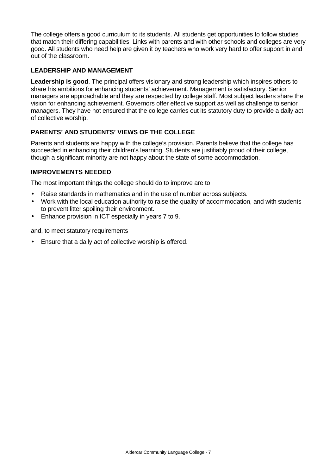The college offers a good curriculum to its students. All students get opportunities to follow studies that match their differing capabilities. Links with parents and with other schools and colleges are very good. All students who need help are given it by teachers who work very hard to offer support in and out of the classroom.

# **LEADERSHIP AND MANAGEMENT**

**Leadership is good**. The principal offers visionary and strong leadership which inspires others to share his ambitions for enhancing students' achievement. Management is satisfactory. Senior managers are approachable and they are respected by college staff. Most subject leaders share the vision for enhancing achievement. Governors offer effective support as well as challenge to senior managers. They have not ensured that the college carries out its statutory duty to provide a daily act of collective worship.

# **PARENTS' AND STUDENTS' VIEWS OF THE COLLEGE**

Parents and students are happy with the college's provision. Parents believe that the college has succeeded in enhancing their children's learning. Students are justifiably proud of their college, though a significant minority are not happy about the state of some accommodation.

## **IMPROVEMENTS NEEDED**

The most important things the college should do to improve are to

- Raise standards in mathematics and in the use of number across subjects.
- Work with the local education authority to raise the quality of accommodation, and with students to prevent litter spoiling their environment.
- Enhance provision in ICT especially in years 7 to 9.

and, to meet statutory requirements

• Ensure that a daily act of collective worship is offered.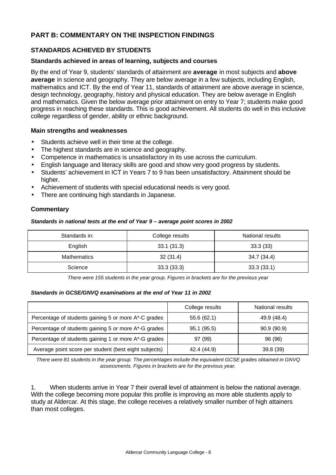# **PART B: COMMENTARY ON THE INSPECTION FINDINGS**

## **STANDARDS ACHIEVED BY STUDENTS**

#### **Standards achieved in areas of learning, subjects and courses**

By the end of Year 9, students' standards of attainment are **average** in most subjects and **above average** in science and geography. They are below average in a few subjects, including English, mathematics and ICT. By the end of Year 11, standards of attainment are above average in science, design technology, geography, history and physical education. They are below average in English and mathematics. Given the below average prior attainment on entry to Year 7; students make good progress in reaching these standards. This is good achievement. All students do well in this inclusive college regardless of gender, ability or ethnic background.

#### **Main strengths and weaknesses**

- Students achieve well in their time at the college.
- The highest standards are in science and geography.
- Competence in mathematics is unsatisfactory in its use across the curriculum.
- English language and literacy skills are good and show very good progress by students.
- Students' achievement in ICT in Years 7 to 9 has been unsatisfactory. Attainment should be higher.
- Achievement of students with special educational needs is very good.
- There are continuing high standards in Japanese.

#### **Commentary**

#### *Standards in national tests at the end of Year 9 – average point scores in 2002*

| Standards in:      | College results | National results |
|--------------------|-----------------|------------------|
| English            | 33.1(31.3)      | 33.3(33)         |
| <b>Mathematics</b> | 32(31.4)        | 34.7 (34.4)      |
| Science            | 33.3(33.3)      | 33.3(33.1)       |

*There were 155 students in the year group. Figures in brackets are for the previous year*

#### *Standards in GCSE/GNVQ examinations at the end of Year 11 in 2002*

|                                                       | College results | National results |
|-------------------------------------------------------|-----------------|------------------|
| Percentage of students gaining 5 or more A*-C grades  | 55.6(62.1)      | 49.9 (48.4)      |
| Percentage of students gaining 5 or more A*-G grades  | 95.1(95.5)      | 90.9(90.9)       |
| Percentage of students gaining 1 or more A*-G grades  | 97 (99)         | 96 (96)          |
| Average point score per student (best eight subjects) | 42.4 (44.9)     | 39.8 (39)        |

*There were 81 students in the year group. The percentages include the equivalent GCSE grades obtained in GNVQ assessments. Figures in brackets are for the previous year.*

1. When students arrive in Year 7 their overall level of attainment is below the national average. With the college becoming more popular this profile is improving as more able students apply to study at Aldercar. At this stage, the college receives a relatively smaller number of high attainers than most colleges.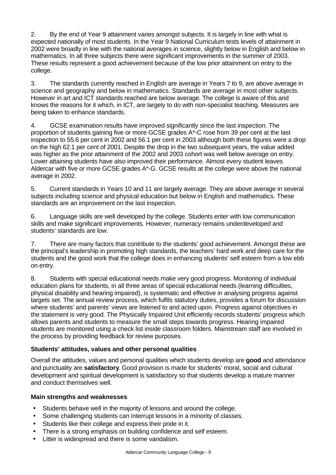2. By the end of Year 9 attainment varies amongst subjects. It is largely in line with what is expected nationally of most students. In the Year 9 National Curriculum tests levels of attainment in 2002 were broadly in line with the national averages in science, slightly below in English and below in mathematics. In all three subjects there were significant improvements in the summer of 2003. These results represent a good achievement because of the low prior attainment on entry to the college.

3. The standards currently reached in English are average in Years 7 to 9, are above average in science and geography and below in mathematics. Standards are average in most other subjects. However in art and ICT standards reached are below average. The college is aware of this and knows the reasons for it which, in ICT, are largely to do with non-specialist teaching. Measures are being taken to enhance standards.

4. GCSE examination results have improved significantly since the last inspection. The proportion of students gaining five or more GCSE grades A\*-C rose from 39 per cent at the last inspection to 55.6 per cent in 2002 and 56.1 per cent in 2003 although both these figures were a drop on the high 62.1 per cent of 2001. Despite the drop in the two subsequent years, the value added was higher as the prior attainment of the 2002 and 2003 cohort was well below average on entry. Lower attaining students have also improved their performance. Almost every student leaves Aldercar with five or more GCSE grades A\*-G. GCSE results at the college were above the national average in 2002.

5. Current standards in Years 10 and 11 are largely average. They are above average in several subjects including science and physical education but below in English and mathematics. These standards are an improvement on the last inspection.

6. Language skills are well developed by the college. Students enter with low communication skills and make significant improvements. However, numeracy remains underdeveloped and students' standards are low.

7. There are many factors that contribute to the students' good achievement. Amongst these are the principal's leadership in promoting high standards, the teachers' hard work and deep care for the students and the good work that the college does in enhancing students' self esteem from a low ebb on entry.

8. Students with special educational needs make very good progress. Monitoring of individual education plans for students, in all three areas of special educational needs (learning difficulties, physical disability and hearing impaired), is systematic and effective in analysing progress against targets set. The annual review process, which fulfils statutory duties, provides a forum for discussion where students' and parents' views are listened to and acted upon. Progress against objectives in the statement is very good. The Physically Impaired Unit efficiently records students' progress which allows parents and students to measure the small steps towards progress. Hearing impaired students are monitored using a check list inside classroom folders. Mainstream staff are involved in the process by providing feedback for review purposes.

## **Students' attitudes, values and other personal qualities**

Overall the attitudes, values and personal qualities which students develop are **good** and attendance and punctuality are **satisfactory**. Good provision is made for students' moral, social and cultural development and spiritual development is satisfactory so that students develop a mature manner and conduct themselves well.

## **Main strengths and weaknesses**

- Students behave well in the majority of lessons and around the college.
- Some challenging students can interrupt lessons in a minority of classes.
- Students like their college and express their pride in it.
- There is a strong emphasis on building confidence and self esteem.
- Litter is widespread and there is some vandalism.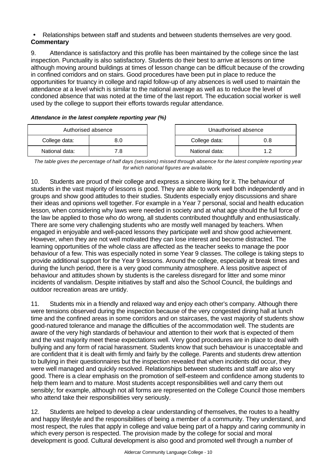## • Relationships between staff and students and between students themselves are very good. **Commentary**

9. Attendance is satisfactory and this profile has been maintained by the college since the last inspection. Punctuality is also satisfactory. Students do their best to arrive at lessons on time although moving around buildings at times of lesson change can be difficult because of the crowding in confined corridors and on stairs. Good procedures have been put in place to reduce the opportunities for truancy in college and rapid follow-up of any absences is well used to maintain the attendance at a level which is similar to the national average as well as to reduce the level of condoned absence that was noted at the time of the last report. The education social worker is well used by the college to support their efforts towards regular attendance.

*Attendance in the latest complete reporting year (%)*

| Authorised absence |     | Unauthorised absence |  |  |
|--------------------|-----|----------------------|--|--|
| College data:      | 8.0 | College data:<br>0.8 |  |  |
| National data:     |     | National data:       |  |  |

*The table gives the percentage of half days (sessions) missed through absence for the latest complete reporting year for which national figures are available.*

10. Students are proud of their college and express a sincere liking for it. The behaviour of students in the vast majority of lessons is good. They are able to work well both independently and in groups and show good attitudes to their studies. Students especially enjoy discussions and share their ideas and opinions well together. For example in a Year 7 personal, social and health education lesson, when considering why laws were needed in society and at what age should the full force of the law be applied to those who do wrong, all students contributed thoughtfully and enthusiastically. There are some very challenging students who are mostly well managed by teachers. When engaged in enjoyable and well-paced lessons they participate well and show good achievement. However, when they are not well motivated they can lose interest and become distracted. The learning opportunities of the whole class are affected as the teacher seeks to manage the poor behaviour of a few. This was especially noted in some Year 9 classes. The college is taking steps to provide additional support for the Year 9 lessons. Around the college, especially at break times and during the lunch period, there is a very good community atmosphere. A less positive aspect of behaviour and attitudes shown by students is the careless disregard for litter and some minor incidents of vandalism. Despite initiatives by staff and also the School Council, the buildings and outdoor recreation areas are untidy.

11. Students mix in a friendly and relaxed way and enjoy each other's company. Although there were tensions observed during the inspection because of the very congested dining hall at lunch time and the confined areas in some corridors and on staircases, the vast majority of students show good-natured tolerance and manage the difficulties of the accommodation well. The students are aware of the very high standards of behaviour and attention to their work that is expected of them and the vast majority meet these expectations well. Very good procedures are in place to deal with bullying and any form of racial harassment. Students know that such behaviour is unacceptable and are confident that it is dealt with firmly and fairly by the college. Parents and students drew attention to bullying in their questionnaires but the inspection revealed that when incidents did occur, they were well managed and quickly resolved. Relationships between students and staff are also very good. There is a clear emphasis on the promotion of self-esteem and confidence among students to help them learn and to mature. Most students accept responsibilities well and carry them out sensibly; for example, although not all forms are represented on the College Council those members who attend take their responsibilities very seriously.

12. Students are helped to develop a clear understanding of themselves, the routes to a healthy and happy lifestyle and the responsibilities of being a member of a community. They understand, and most respect, the rules that apply in college and value being part of a happy and caring community in which every person is respected. The provision made by the college for social and moral development is good. Cultural development is also good and promoted well through a number of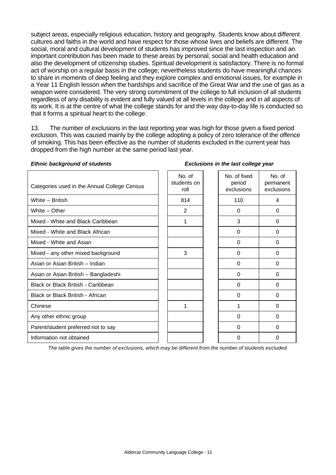subject areas, especially religious education, history and geography. Students know about different cultures and faiths in the world and have respect for those whose lives and beliefs are different. The social, moral and cultural development of students has improved since the last inspection and an important contribution has been made to these areas by personal, social and health education and also the development of citizenship studies. Spiritual development is satisfactory. There is no formal act of worship on a regular basis in the college; nevertheless students do have meaningful chances to share in moments of deep feeling and they explore complex and emotional issues, for example in a Year 11 English lesson when the hardships and sacrifice of the Great War and the use of gas as a weapon were considered. The very strong commitment of the college to full inclusion of all students regardless of any disability is evident and fully valued at all levels in the college and in all aspects of its work. It is at the centre of what the college stands for and the way day-to-day life is conducted so that it forms a spiritual heart to the college.

13. The number of exclusions in the last reporting year was high for those given a fixed period exclusion. This was caused mainly by the college adopting a policy of zero tolerance of the offence of smoking. This has been effective as the number of students excluded in the current year has dropped from the high number at the same period last year.

#### *Ethnic background of students Exclusions in the last college year*

| Categories used in the Annual College Census | No. of<br>students on<br>roll | No. of fixed<br>period<br>exclusions | No. of<br>permanent<br>exclusions |
|----------------------------------------------|-------------------------------|--------------------------------------|-----------------------------------|
| White - British                              | 814                           | 110                                  | 4                                 |
| White - Other                                | 2                             | 0                                    | 0                                 |
| Mixed - White and Black Caribbean            | 1                             | 3                                    | $\Omega$                          |
| Mixed - White and Black African              |                               | 0                                    | 0                                 |
| Mixed - White and Asian                      |                               | $\Omega$                             | $\Omega$                          |
| Mixed - any other mixed background           | 3                             | $\Omega$                             | $\Omega$                          |
| Asian or Asian British - Indian              |                               | $\Omega$                             | $\Omega$                          |
| Asian or Asian British - Bangladeshi         |                               | 0                                    | $\Omega$                          |
| Black or Black British - Caribbean           |                               | $\Omega$                             | $\Omega$                          |
| Black or Black British - African             |                               | $\Omega$                             | $\Omega$                          |
| Chinese                                      | 1                             | 1                                    | $\Omega$                          |
| Any other ethnic group                       |                               | $\Omega$                             | $\Omega$                          |
| Parent/student preferred not to say          |                               | $\Omega$                             | $\Omega$                          |
| Information not obtained                     |                               | $\Omega$                             | $\Omega$                          |

*The table gives the number of exclusions, which may be different from the number of students excluded.*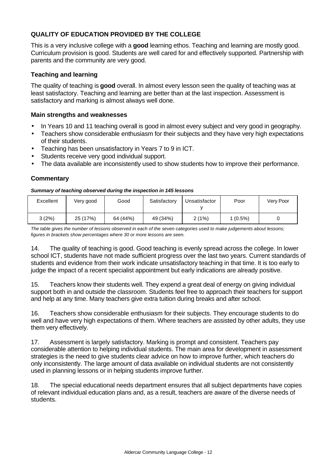# **QUALITY OF EDUCATION PROVIDED BY THE COLLEGE**

This is a very inclusive college with a **good** learning ethos. Teaching and learning are mostly good. Curriculum provision is good. Students are well cared for and effectively supported. Partnership with parents and the community are very good.

## **Teaching and learning**

The quality of teaching is **good** overall. In almost every lesson seen the quality of teaching was at least satisfactory. Teaching and learning are better than at the last inspection. Assessment is satisfactory and marking is almost always well done.

## **Main strengths and weaknesses**

- In Years 10 and 11 teaching overall is good in almost every subject and very good in geography.
- Teachers show considerable enthusiasm for their subjects and they have very high expectations of their students.
- Teaching has been unsatisfactory in Years 7 to 9 in ICT.
- Students receive very good individual support.
- The data available are inconsistently used to show students how to improve their performance.

#### **Commentary**

#### *Summary of teaching observed during the inspection in 145 lessons*

| Excellent | Very good | Good     | Satisfactory | Unsatisfactor | Poor       | Very Poor |
|-----------|-----------|----------|--------------|---------------|------------|-----------|
| 3(2%)     | 25 (17%)  | 64 (44%) | 49 (34%)     | 2(1%)         | $1(0.5\%)$ |           |

*The table gives the number of lessons observed in each of the seven categories used to make judgements about lessons; figures in brackets show percentages where 30 or more lessons are seen.*

14. The quality of teaching is good. Good teaching is evenly spread across the college. In lower school ICT, students have not made sufficient progress over the last two years. Current standards of students and evidence from their work indicate unsatisfactory teaching in that time. It is too early to judge the impact of a recent specialist appointment but early indications are already positive.

15. Teachers know their students well. They expend a great deal of energy on giving individual support both in and outside the classroom. Students feel free to approach their teachers for support and help at any time. Many teachers give extra tuition during breaks and after school.

16. Teachers show considerable enthusiasm for their subjects. They encourage students to do well and have very high expectations of them. Where teachers are assisted by other adults, they use them very effectively.

17. Assessment is largely satisfactory. Marking is prompt and consistent. Teachers pay considerable attention to helping individual students. The main area for development in assessment strategies is the need to give students clear advice on how to improve further, which teachers do only inconsistently. The large amount of data available on individual students are not consistently used in planning lessons or in helping students improve further.

18. The special educational needs department ensures that all subject departments have copies of relevant individual education plans and, as a result, teachers are aware of the diverse needs of students.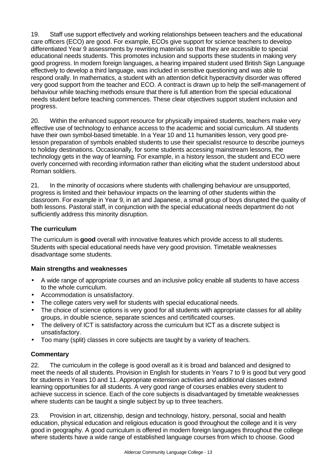19. Staff use support effectively and working relationships between teachers and the educational care officers (ECO) are good. For example, ECOs give support for science teachers to develop differentiated Year 9 assessments by rewriting materials so that they are accessible to special educational needs students. This promotes inclusion and supports these students in making very good progress. In modern foreign languages, a hearing impaired student used British Sign Language effectively to develop a third language, was included in sensitive questioning and was able to respond orally. In mathematics, a student with an attention deficit hyperactivity disorder was offered very good support from the teacher and ECO. A contract is drawn up to help the self-management of behaviour while teaching methods ensure that there is full attention from the special educational needs student before teaching commences. These clear objectives support student inclusion and progress.

20. Within the enhanced support resource for physically impaired students, teachers make very effective use of technology to enhance access to the academic and social curriculum. All students have their own symbol-based timetable. In a Year 10 and 11 humanities lesson, very good prelesson preparation of symbols enabled students to use their specialist resource to describe journeys to holiday destinations. Occasionally, for some students accessing mainstream lessons, the technology gets in the way of learning. For example, in a history lesson, the student and ECO were overly concerned with recording information rather than eliciting what the student understood about Roman soldiers.

21. In the minority of occasions where students with challenging behaviour are unsupported, progress is limited and their behaviour impacts on the learning of other students within the classroom. For example in Year 9, in art and Japanese, a small group of boys disrupted the quality of both lessons. Pastoral staff, in conjunction with the special educational needs department do not sufficiently address this minority disruption.

# **The curriculum**

The curriculum is **good** overall with innovative features which provide access to all students. Students with special educational needs have very good provision. Timetable weaknesses disadvantage some students.

## **Main strengths and weaknesses**

- A wide range of appropriate courses and an inclusive policy enable all students to have access to the whole curriculum.
- Accommodation is unsatisfactory.
- The college caters very well for students with special educational needs.
- The choice of science options is very good for all students with appropriate classes for all ability groups, in double science, separate sciences and certificated courses.
- The delivery of ICT is satisfactory across the curriculum but ICT as a discrete subject is unsatisfactory.
- Too many (split) classes in core subjects are taught by a variety of teachers.

## **Commentary**

22. The curriculum in the college is good overall as it is broad and balanced and designed to meet the needs of all students. Provision in English for students in Years 7 to 9 is good but very good for students in Years 10 and 11. Appropriate extension activities and additional classes extend learning opportunities for all students. A very good range of courses enables every student to achieve success in science. Each of the core subjects is disadvantaged by timetable weaknesses where students can be taught a single subject by up to three teachers.

23. Provision in art, citizenship, design and technology, history, personal, social and health education, physical education and religious education is good throughout the college and it is very good in geography. A good curriculum is offered in modern foreign languages throughout the college where students have a wide range of established language courses from which to choose. Good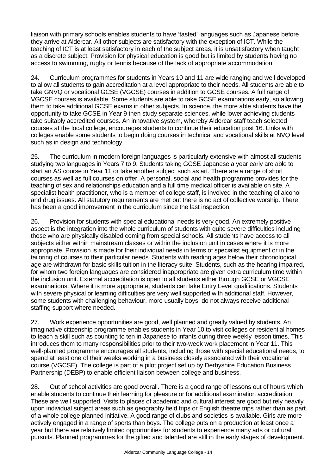liaison with primary schools enables students to have 'tasted' languages such as Japanese before they arrive at Aldercar. All other subjects are satisfactory with the exception of ICT. While the teaching of ICT is at least satisfactory in each of the subject areas, it is unsatisfactory when taught as a discrete subject. Provision for physical education is good but is limited by students having no access to swimming, rugby or tennis because of the lack of appropriate accommodation.

24. Curriculum programmes for students in Years 10 and 11 are wide ranging and well developed to allow all students to gain accreditation at a level appropriate to their needs. All students are able to take GNVQ or vocational GCSE (VGCSE) courses in addition to GCSE courses. A full range of VGCSE courses is available. Some students are able to take GCSE examinations early, so allowing them to take additional GCSE exams in other subjects. In science, the more able students have the opportunity to take GCSE in Year 9 then study separate sciences, while lower achieving students take suitably accredited courses. An innovative system, whereby Aldercar staff teach selected courses at the local college, encourages students to continue their education post 16. Links with colleges enable some students to begin doing courses in technical and vocational skills at NVQ level such as in design and technology.

25. The curriculum in modern foreign languages is particularly extensive with almost all students studying two languages in Years 7 to 9. Students taking GCSE Japanese a year early are able to start an AS course in Year 11 or take another subject such as art. There are a range of short courses as well as full courses on offer. A personal, social and health programme provides for the teaching of sex and relationships education and a full time medical officer is available on site. A specialist health practitioner, who is a member of college staff, is involved in the teaching of alcohol and drug issues. All statutory requirements are met but there is no act of collective worship. There has been a good improvement in the curriculum since the last inspection.

26. Provision for students with special educational needs is very good. An extremely positive aspect is the integration into the whole curriculum of students with quite severe difficulties including those who are physically disabled coming from special schools. All students have access to all subjects either within mainstream classes or within the inclusion unit in cases where it is more appropriate. Provision is made for their individual needs in terms of specialist equipment or in the tailoring of courses to their particular needs. Students with reading ages below their chronological age are withdrawn for basic skills tuition in the literacy suite. Students, such as the hearing impaired, for whom two foreign languages are considered inappropriate are given extra curriculum time within the inclusion unit. External accreditation is open to all students either through GCSE or VGCSE examinations. Where it is more appropriate, students can take Entry Level qualifications. Students with severe physical or learning difficulties are very well supported with additional staff. However, some students with challenging behaviour, more usually boys, do not always receive additional staffing support where needed.

27. Work experience opportunities are good, well planned and greatly valued by students. An imaginative citizenship programme enables students in Year 10 to visit colleges or residential homes to teach a skill such as counting to ten in Japanese to infants during three weekly lesson times. This introduces them to many responsibilities prior to their two-week work placement in Year 11. This well-planned programme encourages all students, including those with special educational needs, to spend at least one of their weeks working in a business closely associated with their vocational course (VGCSE). The college is part of a pilot project set up by Derbyshire Education Business Partnership (DEBP) to enable efficient liaison between college and business.

28. Out of school activities are good overall. There is a good range of lessons out of hours which enable students to continue their learning for pleasure or for additional examination accreditation. These are well supported. Visits to places of academic and cultural interest are good but rely heavily upon individual subject areas such as geography field trips or English theatre trips rather than as part of a whole college planned initiative. A good range of clubs and societies is available. Girls are more actively engaged in a range of sports than boys. The college puts on a production at least once a year but there are relatively limited opportunities for students to experience many arts or cultural pursuits. Planned programmes for the gifted and talented are still in the early stages of development.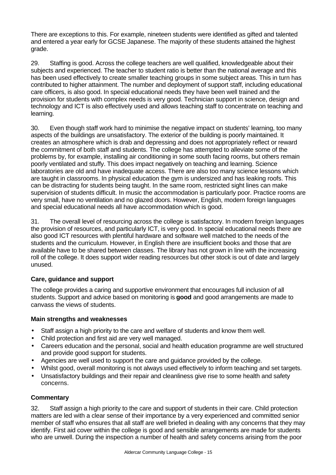There are exceptions to this. For example, nineteen students were identified as gifted and talented and entered a year early for GCSE Japanese. The majority of these students attained the highest grade.

29. Staffing is good. Across the college teachers are well qualified, knowledgeable about their subjects and experienced. The teacher to student ratio is better than the national average and this has been used effectively to create smaller teaching groups in some subject areas. This in turn has contributed to higher attainment. The number and deployment of support staff, including educational care officers, is also good. In special educational needs they have been well trained and the provision for students with complex needs is very good. Technician support in science, design and technology and ICT is also effectively used and allows teaching staff to concentrate on teaching and learning.

30. Even though staff work hard to minimise the negative impact on students' learning, too many aspects of the buildings are unsatisfactory. The exterior of the building is poorly maintained. It creates an atmosphere which is drab and depressing and does not appropriately reflect or reward the commitment of both staff and students. The college has attempted to alleviate some of the problems by, for example, installing air conditioning in some south facing rooms, but others remain poorly ventilated and stuffy. This does impact negatively on teaching and learning. Science laboratories are old and have inadequate access. There are also too many science lessons which are taught in classrooms. In physical education the gym is undersized and has leaking roofs. This can be distracting for students being taught. In the same room, restricted sight lines can make supervision of students difficult. In music the accommodation is particularly poor. Practice rooms are very small, have no ventilation and no glazed doors. However, English, modern foreign languages and special educational needs all have accommodation which is good.

31. The overall level of resourcing across the college is satisfactory. In modern foreign languages the provision of resources, and particularly ICT, is very good. In special educational needs there are also good ICT resources with plentiful hardware and software well matched to the needs of the students and the curriculum. However, in English there are insufficient books and those that are available have to be shared between classes. The library has not grown in line with the increasing roll of the college. It does support wider reading resources but other stock is out of date and largely unused.

## **Care, guidance and support**

The college provides a caring and supportive environment that encourages full inclusion of all students. Support and advice based on monitoring is **good** and good arrangements are made to canvass the views of students.

## **Main strengths and weaknesses**

- Staff assign a high priority to the care and welfare of students and know them well.
- Child protection and first aid are very well managed.
- Careers education and the personal, social and health education programme are well structured and provide good support for students.
- Agencies are well used to support the care and guidance provided by the college.
- Whilst good, overall monitoring is not always used effectively to inform teaching and set targets.
- Unsatisfactory buildings and their repair and cleanliness give rise to some health and safety concerns.

## **Commentary**

32. Staff assign a high priority to the care and support of students in their care. Child protection matters are led with a clear sense of their importance by a very experienced and committed senior member of staff who ensures that all staff are well briefed in dealing with any concerns that they may identify. First aid cover within the college is good and sensible arrangements are made for students who are unwell. During the inspection a number of health and safety concerns arising from the poor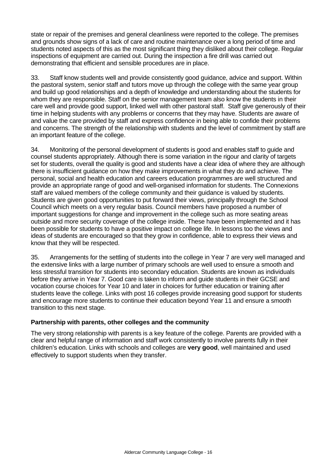state or repair of the premises and general cleanliness were reported to the college. The premises and grounds show signs of a lack of care and routine maintenance over a long period of time and students noted aspects of this as the most significant thing they disliked about their college. Regular inspections of equipment are carried out. During the inspection a fire drill was carried out demonstrating that efficient and sensible procedures are in place.

33. Staff know students well and provide consistently good guidance, advice and support. Within the pastoral system, senior staff and tutors move up through the college with the same year group and build up good relationships and a depth of knowledge and understanding about the students for whom they are responsible. Staff on the senior management team also know the students in their care well and provide good support, linked well with other pastoral staff. Staff give generously of their time in helping students with any problems or concerns that they may have. Students are aware of and value the care provided by staff and express confidence in being able to confide their problems and concerns. The strength of the relationship with students and the level of commitment by staff are an important feature of the college.

34. Monitoring of the personal development of students is good and enables staff to guide and counsel students appropriately. Although there is some variation in the rigour and clarity of targets set for students, overall the quality is good and students have a clear idea of where they are although there is insufficient guidance on how they make improvements in what they do and achieve. The personal, social and health education and careers education programmes are well structured and provide an appropriate range of good and well-organised information for students. The Connexions staff are valued members of the college community and their guidance is valued by students. Students are given good opportunities to put forward their views, principally through the School Council which meets on a very regular basis. Council members have proposed a number of important suggestions for change and improvement in the college such as more seating areas outside and more security coverage of the college inside. These have been implemented and it has been possible for students to have a positive impact on college life. In lessons too the views and ideas of students are encouraged so that they grow in confidence, able to express their views and know that they will be respected.

35. Arrangements for the settling of students into the college in Year 7 are very well managed and the extensive links with a large number of primary schools are well used to ensure a smooth and less stressful transition for students into secondary education. Students are known as individuals before they arrive in Year 7. Good care is taken to inform and guide students in their GCSE and vocation course choices for Year 10 and later in choices for further education or training after students leave the college. Links with post 16 colleges provide increasing good support for students and encourage more students to continue their education beyond Year 11 and ensure a smooth transition to this next stage.

## **Partnership with parents, other colleges and the community**

The very strong relationship with parents is a key feature of the college. Parents are provided with a clear and helpful range of information and staff work consistently to involve parents fully in their children's education. Links with schools and colleges are **very good**, well maintained and used effectively to support students when they transfer.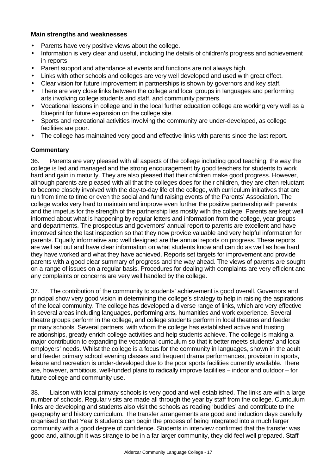## **Main strengths and weaknesses**

- Parents have very positive views about the college.
- Information is very clear and useful, including the details of children's progress and achievement in reports.
- Parent support and attendance at events and functions are not always high.
- Links with other schools and colleges are very well developed and used with great effect.
- Clear vision for future improvement in partnerships is shown by governors and key staff.
- There are very close links between the college and local groups in languages and performing arts involving college students and staff, and community partners.
- Vocational lessons in college and in the local further education college are working very well as a blueprint for future expansion on the college site.
- Sports and recreational activities involving the community are under-developed, as college facilities are poor.
- The college has maintained very good and effective links with parents since the last report.

## **Commentary**

36. Parents are very pleased with all aspects of the college including good teaching, the way the college is led and managed and the strong encouragement by good teachers for students to work hard and gain in maturity. They are also pleased that their children make good progress. However, although parents are pleased with all that the colleges does for their children, they are often reluctant to become closely involved with the day-to-day life of the college, with curriculum initiatives that are run from time to time or even the social and fund raising events of the Parents' Association. The college works very hard to maintain and improve even further the positive partnership with parents and the impetus for the strength of the partnership lies mostly with the college. Parents are kept well informed about what is happening by regular letters and information from the college, year groups and departments. The prospectus and governors' annual report to parents are excellent and have improved since the last inspection so that they now provide valuable and very helpful information for parents. Equally informative and well designed are the annual reports on progress. These reports are well set out and have clear information on what students know and can do as well as how hard they have worked and what they have achieved. Reports set targets for improvement and provide parents with a good clear summary of progress and the way ahead. The views of parents are sought on a range of issues on a regular basis. Procedures for dealing with complaints are very efficient and any complaints or concerns are very well handled by the college.

37. The contribution of the community to students' achievement is good overall. Governors and principal show very good vision in determining the college's strategy to help in raising the aspirations of the local community. The college has developed a diverse range of links, which are very effective in several areas including languages, performing arts, humanities and work experience. Several theatre groups perform in the college, and college students perform in local theatres and feeder primary schools. Several partners, with whom the college has established active and trusting relationships, greatly enrich college activities and help students achieve. The college is making a major contribution to expanding the vocational curriculum so that it better meets students' and local employers' needs. Whilst the college is a focus for the community in languages, shown in the adult and feeder primary school evening classes and frequent drama performances, provision in sports, leisure and recreation is under-developed due to the poor sports facilities currently available. There are, however, ambitious, well-funded plans to radically improve facilities – indoor and outdoor – for future college and community use.

38. Liaison with local primary schools is very good and well established. The links are with a large number of schools. Regular visits are made all through the year by staff from the college. Curriculum links are developing and students also visit the schools as reading 'buddies' and contribute to the geography and history curriculum. The transfer arrangements are good and induction days carefully organised so that Year 6 students can begin the process of being integrated into a much larger community with a good degree of confidence. Students in interview confirmed that the transfer was good and, although it was strange to be in a far larger community, they did feel well prepared. Staff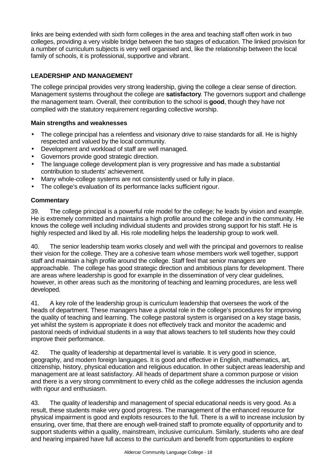links are being extended with sixth form colleges in the area and teaching staff often work in two colleges, providing a very visible bridge between the two stages of education. The linked provision for a number of curriculum subjects is very well organised and, like the relationship between the local family of schools, it is professional, supportive and vibrant.

# **LEADERSHIP AND MANAGEMENT**

The college principal provides very strong leadership, giving the college a clear sense of direction. Management systems throughout the college are **satisfactory**. The governors support and challenge the management team. Overall, their contribution to the school is **good**, though they have not complied with the statutory requirement regarding collective worship.

## **Main strengths and weaknesses**

- The college principal has a relentless and visionary drive to raise standards for all. He is highly respected and valued by the local community.
- Development and workload of staff are well managed.
- Governors provide good strategic direction.
- The language college development plan is very progressive and has made a substantial contribution to students' achievement.
- Many whole-college systems are not consistently used or fully in place.
- The college's evaluation of its performance lacks sufficient rigour.

## **Commentary**

39. The college principal is a powerful role model for the college; he leads by vision and example. He is extremely committed and maintains a high profile around the college and in the community. He knows the college well including individual students and provides strong support for his staff. He is highly respected and liked by all. His role modelling helps the leadership group to work well.

40. The senior leadership team works closely and well with the principal and governors to realise their vision for the college. They are a cohesive team whose members work well together, support staff and maintain a high profile around the college. Staff feel that senior managers are approachable. The college has good strategic direction and ambitious plans for development. There are areas where leadership is good for example in the dissemination of very clear guidelines, however, in other areas such as the monitoring of teaching and learning procedures, are less well developed.

41. A key role of the leadership group is curriculum leadership that oversees the work of the heads of department. These managers have a pivotal role in the college's procedures for improving the quality of teaching and learning. The college pastoral system is organised on a key stage basis, yet whilst the system is appropriate it does not effectively track and monitor the academic and pastoral needs of individual students in a way that allows teachers to tell students how they could improve their performance.

42. The quality of leadership at departmental level is variable. It is very good in science, geography, and modern foreign languages. It is good and effective in English, mathematics, art, citizenship, history, physical education and religious education. In other subject areas leadership and management are at least satisfactory. All heads of department share a common purpose or vision and there is a very strong commitment to every child as the college addresses the inclusion agenda with rigour and enthusiasm.

43. The quality of leadership and management of special educational needs is very good. As a result, these students make very good progress. The management of the enhanced resource for physical impairment is good and exploits resources to the full. There is a will to increase inclusion by ensuring, over time, that there are enough well-trained staff to promote equality of opportunity and to support students within a quality, mainstream, inclusive curriculum. Similarly, students who are deaf and hearing impaired have full access to the curriculum and benefit from opportunities to explore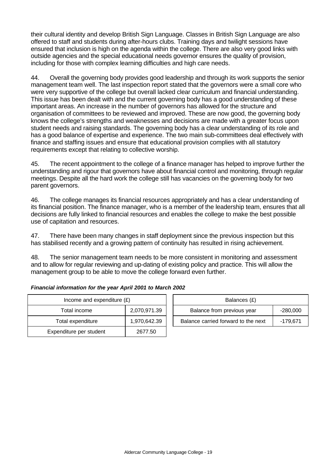their cultural identity and develop British Sign Language. Classes in British Sign Language are also offered to staff and students during after-hours clubs. Training days and twilight sessions have ensured that inclusion is high on the agenda within the college. There are also very good links with outside agencies and the special educational needs governor ensures the quality of provision, including for those with complex learning difficulties and high care needs.

44. Overall the governing body provides good leadership and through its work supports the senior management team well. The last inspection report stated that the governors were a small core who were very supportive of the college but overall lacked clear curriculum and financial understanding. This issue has been dealt with and the current governing body has a good understanding of these important areas. An increase in the number of governors has allowed for the structure and organisation of committees to be reviewed and improved. These are now good, the governing body knows the college's strengths and weaknesses and decisions are made with a greater focus upon student needs and raising standards. The governing body has a clear understanding of its role and has a good balance of expertise and experience. The two main sub-committees deal effectively with finance and staffing issues and ensure that educational provision complies with all statutory requirements except that relating to collective worship.

45. The recent appointment to the college of a finance manager has helped to improve further the understanding and rigour that governors have about financial control and monitoring, through regular meetings. Despite all the hard work the college still has vacancies on the governing body for two parent governors.

46. The college manages its financial resources appropriately and has a clear understanding of its financial position. The finance manager, who is a member of the leadership team, ensures that all decisions are fully linked to financial resources and enables the college to make the best possible use of capitation and resources.

47. There have been many changes in staff deployment since the previous inspection but this has stabilised recently and a growing pattern of continuity has resulted in rising achievement.

48. The senior management team needs to be more consistent in monitoring and assessment and to allow for regular reviewing and up-dating of existing policy and practice. This will allow the management group to be able to move the college forward even further.

| Income and expenditure $(E)$ |                         |              | Balances (£)                     |
|------------------------------|-------------------------|--------------|----------------------------------|
|                              | Total income            | 2,070,971.39 | Balance from previous year       |
|                              | Total expenditure       | 1,970,642.39 | Balance carried forward to the r |
|                              | Expenditure per student | 2677.50      |                                  |

| Income and expenditure $(E)$ |              |                            | Balances (£)                        |            |
|------------------------------|--------------|----------------------------|-------------------------------------|------------|
| Total income                 | 2,070,971.39 | Balance from previous year |                                     | $-280,000$ |
| Total expenditure            | 1,970,642.39 |                            | Balance carried forward to the next | -179.671   |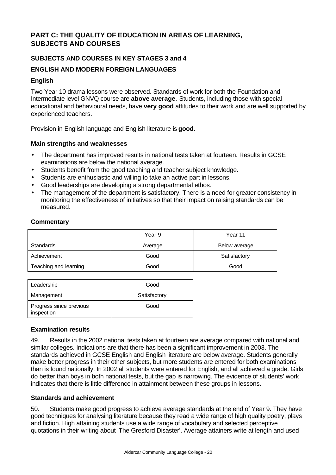# **PART C: THE QUALITY OF EDUCATION IN AREAS OF LEARNING, SUBJECTS AND COURSES**

## **SUBJECTS AND COURSES IN KEY STAGES 3 and 4**

## **ENGLISH AND MODERN FOREIGN LANGUAGES**

## **English**

Two Year 10 drama lessons were observed. Standards of work for both the Foundation and Intermediate level GNVQ course are **above average**. Students, including those with special educational and behavioural needs, have **very good** attitudes to their work and are well supported by experienced teachers.

Provision in English language and English literature is **good**.

## **Main strengths and weaknesses**

- The department has improved results in national tests taken at fourteen. Results in GCSE examinations are below the national average.
- Students benefit from the good teaching and teacher subject knowledge.
- Students are enthusiastic and willing to take an active part in lessons.
- Good leaderships are developing a strong departmental ethos.
- The management of the department is satisfactory. There is a need for greater consistency in monitoring the effectiveness of initiatives so that their impact on raising standards can be measured.

## **Commentary**

|                       | Year 9  | Year 11       |
|-----------------------|---------|---------------|
| Standards             | Average | Below average |
| Achievement           | Good    | Satisfactory  |
| Teaching and learning | Good    | Good          |

| Leadership                            | Good         |
|---------------------------------------|--------------|
| Management                            | Satisfactory |
| Progress since previous<br>inspection | Good         |

## **Examination results**

49. Results in the 2002 national tests taken at fourteen are average compared with national and similar colleges. Indications are that there has been a significant improvement in 2003. The standards achieved in GCSE English and English literature are below average. Students generally make better progress in their other subjects, but more students are entered for both examinations than is found nationally. In 2002 all students were entered for English, and all achieved a grade. Girls do better than boys in both national tests, but the gap is narrowing. The evidence of students' work indicates that there is little difference in attainment between these groups in lessons.

## **Standards and achievement**

50. Students make good progress to achieve average standards at the end of Year 9. They have good techniques for analysing literature because they read a wide range of high quality poetry, plays and fiction. High attaining students use a wide range of vocabulary and selected perceptive quotations in their writing about 'The Gresford Disaster'. Average attainers write at length and used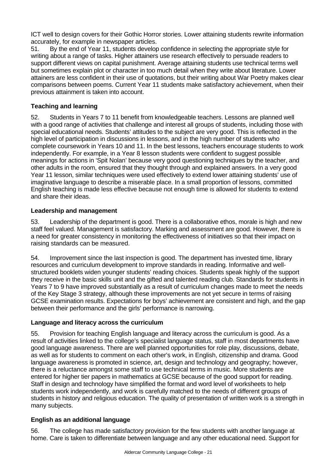ICT well to design covers for their Gothic Horror stories. Lower attaining students rewrite information accurately, for example in newspaper articles.

51. By the end of Year 11, students develop confidence in selecting the appropriate style for writing about a range of tasks. Higher attainers use research effectively to persuade readers to support different views on capital punishment. Average attaining students use technical terms well but sometimes explain plot or character in too much detail when they write about literature. Lower attainers are less confident in their use of quotations, but their writing about War Poetry makes clear comparisons between poems. Current Year 11 students make satisfactory achievement, when their previous attainment is taken into account.

# **Teaching and learning**

52. Students in Years 7 to 11 benefit from knowledgeable teachers. Lessons are planned well with a good range of activities that challenge and interest all groups of students, including those with special educational needs. Students' attitudes to the subject are very good. This is reflected in the high level of participation in discussions in lessons, and in the high number of students who complete coursework in Years 10 and 11. In the best lessons, teachers encourage students to work independently. For example, in a Year 8 lesson students were confident to suggest possible meanings for actions in 'Spit Nolan' because very good questioning techniques by the teacher, and other adults in the room, ensured that they thought through and explained answers. In a very good Year 11 lesson, similar techniques were used effectively to extend lower attaining students' use of imaginative language to describe a miserable place. In a small proportion of lessons, committed English teaching is made less effective because not enough time is allowed for students to extend and share their ideas.

## **Leadership and management**

53. Leadership of the department is good. There is a collaborative ethos, morale is high and new staff feel valued. Management is satisfactory. Marking and assessment are good. However, there is a need for greater consistency in monitoring the effectiveness of initiatives so that their impact on raising standards can be measured.

54. Improvement since the last inspection is good. The department has invested time, library resources and curriculum development to improve standards in reading. Informative and wellstructured booklets widen younger students' reading choices. Students speak highly of the support they receive in the basic skills unit and the gifted and talented reading club. Standards for students in Years 7 to 9 have improved substantially as a result of curriculum changes made to meet the needs of the Key Stage 3 strategy, although these improvements are not yet secure in terms of raising GCSE examination results. Expectations for boys' achievement are consistent and high, and the gap between their performance and the girls' performance is narrowing.

## **Language and literacy across the curriculum**

55. Provision for teaching English language and literacy across the curriculum is good. As a result of activities linked to the college's specialist language status, staff in most departments have good language awareness. There are well planned opportunities for role play, discussions, debate, as well as for students to comment on each other's work, in English, citizenship and drama. Good language awareness is promoted in science, art, design and technology and geography; however, there is a reluctance amongst some staff to use technical terms in music. More students are entered for higher tier papers in mathematics at GCSE because of the good support for reading. Staff in design and technology have simplified the format and word level of worksheets to help students work independently, and work is carefully matched to the needs of different groups of students in history and religious education. The quality of presentation of written work is a strength in many subjects.

## **English as an additional language**

56. The college has made satisfactory provision for the few students with another language at home. Care is taken to differentiate between language and any other educational need. Support for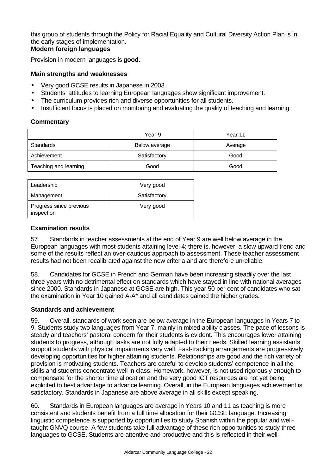this group of students through the Policy for Racial Equality and Cultural Diversity Action Plan is in the early stages of implementation.

## **Modern foreign languages**

Provision in modern languages is **good**.

## **Main strengths and weaknesses**

- Very good GCSE results in Japanese in 2003.
- Students' attitudes to learning European languages show significant improvement.
- The curriculum provides rich and diverse opportunities for all students.
- Insufficient focus is placed on monitoring and evaluating the quality of teaching and learning.

## **Commentary**

|                       | Year 9        | Year 11 |
|-----------------------|---------------|---------|
| Standards             | Below average | Average |
| Achievement           | Satisfactory  | Good    |
| Teaching and learning | Good          | Good    |

| Leadership                            | Very good    |
|---------------------------------------|--------------|
| Management                            | Satisfactory |
| Progress since previous<br>inspection | Very good    |

## **Examination results**

57. Standards in teacher assessments at the end of Year 9 are well below average in the European languages with most students attaining level 4; there is, however, a slow upward trend and some of the results reflect an over-cautious approach to assessment. These teacher assessment results had not been recalibrated against the new criteria and are therefore unreliable.

58. Candidates for GCSE in French and German have been increasing steadily over the last three years with no detrimental effect on standards which have stayed in line with national averages since 2000. Standards in Japanese at GCSE are high. This year 50 per cent of candidates who sat the examination in Year 10 gained A-A\* and all candidates gained the higher grades.

## **Standards and achievement**

59. Overall, standards of work seen are below average in the European languages in Years 7 to 9. Students study two languages from Year 7, mainly in mixed ability classes. The pace of lessons is steady and teachers' pastoral concern for their students is evident. This encourages lower attaining students to progress, although tasks are not fully adapted to their needs. Skilled learning assistants support students with physical impairments very well. Fast-tracking arrangements are progressively developing opportunities for higher attaining students. Relationships are good and the rich variety of provision is motivating students. Teachers are careful to develop students' competence in all the skills and students concentrate well in class. Homework, however, is not used rigorously enough to compensate for the shorter time allocation and the very good ICT resources are not yet being exploited to best advantage to advance learning. Overall, in the European languages achievement is satisfactory. Standards in Japanese are above average in all skills except speaking.

60. Standards in European languages are average in Years 10 and 11 as teaching is more consistent and students benefit from a full time allocation for their GCSE language. Increasing linguistic competence is supported by opportunities to study Spanish within the popular and welltaught GNVQ course. A few students take full advantage of these rich opportunities to study three languages to GCSE. Students are attentive and productive and this is reflected in their well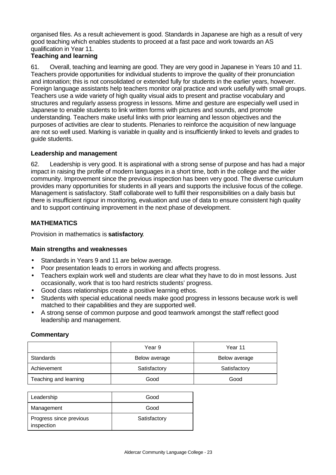organised files. As a result achievement is good. Standards in Japanese are high as a result of very good teaching which enables students to proceed at a fast pace and work towards an AS qualification in Year 11.

# **Teaching and learning**

61. Overall, teaching and learning are good. They are very good in Japanese in Years 10 and 11. Teachers provide opportunities for individual students to improve the quality of their pronunciation and intonation; this is not consolidated or extended fully for students in the earlier years, however. Foreign language assistants help teachers monitor oral practice and work usefully with small groups. Teachers use a wide variety of high quality visual aids to present and practise vocabulary and structures and regularly assess progress in lessons. Mime and gesture are especially well used in Japanese to enable students to link written forms with pictures and sounds, and promote understanding. Teachers make useful links with prior learning and lesson objectives and the purposes of activities are clear to students. Plenaries to reinforce the acquisition of new language are not so well used. Marking is variable in quality and is insufficiently linked to levels and grades to guide students.

# **Leadership and management**

62. Leadership is very good. It is aspirational with a strong sense of purpose and has had a major impact in raising the profile of modern languages in a short time, both in the college and the wider community. Improvement since the previous inspection has been very good. The diverse curriculum provides many opportunities for students in all years and supports the inclusive focus of the college. Management is satisfactory. Staff collaborate well to fulfil their responsibilities on a daily basis but there is insufficient rigour in monitoring, evaluation and use of data to ensure consistent high quality and to support continuing improvement in the next phase of development.

# **MATHEMATICS**

Provision in mathematics is **satisfactory**.

## **Main strengths and weaknesses**

- Standards in Years 9 and 11 are below average.
- Poor presentation leads to errors in working and affects progress.
- Teachers explain work well and students are clear what they have to do in most lessons. Just occasionally, work that is too hard restricts students' progress.
- Good class relationships create a positive learning ethos.
- Students with special educational needs make good progress in lessons because work is well matched to their capabilities and they are supported well.
- A strong sense of common purpose and good teamwork amongst the staff reflect good leadership and management.

## **Commentary**

|                       | Year 9        | Year 11       |
|-----------------------|---------------|---------------|
| Standards             | Below average | Below average |
| Achievement           | Satisfactory  | Satisfactory  |
| Teaching and learning | Good          | Good          |

| Leadership                            | Good         |
|---------------------------------------|--------------|
| Management                            | Good         |
| Progress since previous<br>inspection | Satisfactory |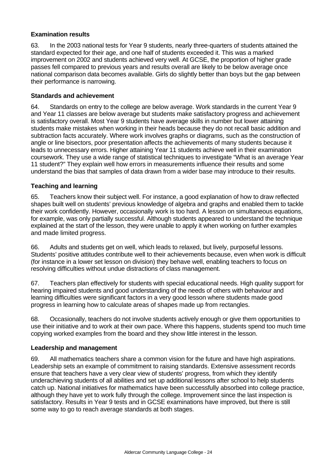## **Examination results**

63. In the 2003 national tests for Year 9 students, nearly three-quarters of students attained the standard expected for their age, and one half of students exceeded it. This was a marked improvement on 2002 and students achieved very well. At GCSE, the proportion of higher grade passes fell compared to previous years and results overall are likely to be below average once national comparison data becomes available. Girls do slightly better than boys but the gap between their performance is narrowing.

## **Standards and achievement**

64. Standards on entry to the college are below average. Work standards in the current Year 9 and Year 11 classes are below average but students make satisfactory progress and achievement is satisfactory overall. Most Year 9 students have average skills in number but lower attaining students make mistakes when working in their heads because they do not recall basic addition and subtraction facts accurately. Where work involves graphs or diagrams, such as the construction of angle or line bisectors, poor presentation affects the achievements of many students because it leads to unnecessary errors. Higher attaining Year 11 students achieve well in their examination coursework. They use a wide range of statistical techniques to investigate "What is an average Year 11 student?" They explain well how errors in measurements influence their results and some understand the bias that samples of data drawn from a wider base may introduce to their results.

## **Teaching and learning**

65. Teachers know their subject well. For instance, a good explanation of how to draw reflected shapes built well on students' previous knowledge of algebra and graphs and enabled them to tackle their work confidently. However, occasionally work is too hard. A lesson on simultaneous equations, for example, was only partially successful. Although students appeared to understand the technique explained at the start of the lesson, they were unable to apply it when working on further examples and made limited progress.

66. Adults and students get on well, which leads to relaxed, but lively, purposeful lessons. Students' positive attitudes contribute well to their achievements because, even when work is difficult (for instance in a lower set lesson on division) they behave well, enabling teachers to focus on resolving difficulties without undue distractions of class management.

67. Teachers plan effectively for students with special educational needs. High quality support for hearing impaired students and good understanding of the needs of others with behaviour and learning difficulties were significant factors in a very good lesson where students made good progress in learning how to calculate areas of shapes made up from rectangles.

68. Occasionally, teachers do not involve students actively enough or give them opportunities to use their initiative and to work at their own pace. Where this happens, students spend too much time copying worked examples from the board and they show little interest in the lesson.

## **Leadership and management**

69. All mathematics teachers share a common vision for the future and have high aspirations. Leadership sets an example of commitment to raising standards. Extensive assessment records ensure that teachers have a very clear view of students' progress, from which they identify underachieving students of all abilities and set up additional lessons after school to help students catch up. National initiatives for mathematics have been successfully absorbed into college practice, although they have yet to work fully through the college. Improvement since the last inspection is satisfactory. Results in Year 9 tests and in GCSE examinations have improved, but there is still some way to go to reach average standards at both stages.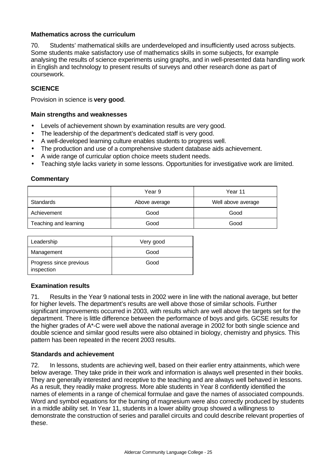## **Mathematics across the curriculum**

70. Students' mathematical skills are underdeveloped and insufficiently used across subjects. Some students make satisfactory use of mathematics skills in some subjects, for example analysing the results of science experiments using graphs, and in well-presented data handling work in English and technology to present results of surveys and other research done as part of coursework.

## **SCIENCE**

Provision in science is **very good**.

#### **Main strengths and weaknesses**

- Levels of achievement shown by examination results are very good.
- The leadership of the department's dedicated staff is very good.
- A well-developed learning culture enables students to progress well.
- The production and use of a comprehensive student database aids achievement.
- A wide range of curricular option choice meets student needs.
- Teaching style lacks variety in some lessons. Opportunities for investigative work are limited.

#### **Commentary**

|                       | Year 9        | Year 11            |
|-----------------------|---------------|--------------------|
| Standards             | Above average | Well above average |
| Achievement           | Good          | Good               |
| Teaching and learning | Good          | Good               |

| Leadership                            | Very good |
|---------------------------------------|-----------|
| Management                            | Good      |
| Progress since previous<br>inspection | Good      |

#### **Examination results**

71. Results in the Year 9 national tests in 2002 were in line with the national average, but better for higher levels. The department's results are well above those of similar schools. Further significant improvements occurred in 2003, with results which are well above the targets set for the department. There is little difference between the performance of boys and girls. GCSE results for the higher grades of A\*-C were well above the national average in 2002 for both single science and double science and similar good results were also obtained in biology, chemistry and physics. This pattern has been repeated in the recent 2003 results.

## **Standards and achievement**

72. In lessons, students are achieving well, based on their earlier entry attainments, which were below average. They take pride in their work and information is always well presented in their books. They are generally interested and receptive to the teaching and are always well behaved in lessons. As a result, they readily make progress. More able students in Year 8 confidently identified the names of elements in a range of chemical formulae and gave the names of associated compounds. Word and symbol equations for the burning of magnesium were also correctly produced by students in a middle ability set. In Year 11, students in a lower ability group showed a willingness to demonstrate the construction of series and parallel circuits and could describe relevant properties of these.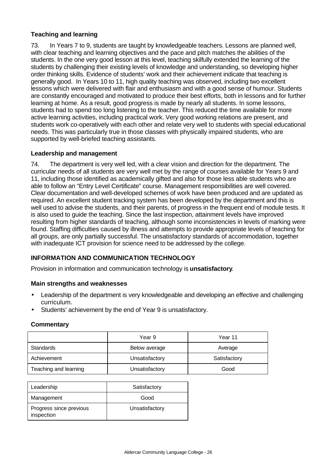## **Teaching and learning**

73. In Years 7 to 9, students are taught by knowledgeable teachers. Lessons are planned well, with clear teaching and learning objectives and the pace and pitch matches the abilities of the students. In the one very good lesson at this level, teaching skilfully extended the learning of the students by challenging their existing levels of knowledge and understanding, so developing higher order thinking skills. Evidence of students' work and their achievement indicate that teaching is generally good. In Years 10 to 11, high quality teaching was observed, including two excellent lessons which were delivered with flair and enthusiasm and with a good sense of humour. Students are constantly encouraged and motivated to produce their best efforts, both in lessons and for further learning at home. As a result, good progress is made by nearly all students. In some lessons, students had to spend too long listening to the teacher. This reduced the time available for more active learning activities, including practical work. Very good working relations are present, and students work co-operatively with each other and relate very well to students with special educational needs. This was particularly true in those classes with physically impaired students, who are supported by well-briefed teaching assistants.

## **Leadership and management**

74. The department is very well led, with a clear vision and direction for the department. The curricular needs of all students are very well met by the range of courses available for Years 9 and 11, including those identified as academically gifted and also for those less able students who are able to follow an "Entry Level Certificate" course. Management responsibilities are well covered. Clear documentation and well-developed schemes of work have been produced and are updated as required. An excellent student tracking system has been developed by the department and this is well used to advise the students, and their parents, of progress in the frequent end of module tests. It is also used to guide the teaching. Since the last inspection, attainment levels have improved resulting from higher standards of teaching, although some inconsistencies in levels of marking were found. Staffing difficulties caused by illness and attempts to provide appropriate levels of teaching for all groups, are only partially successful. The unsatisfactory standards of accommodation, together with inadequate ICT provision for science need to be addressed by the college.

## **INFORMATION AND COMMUNICATION TECHNOLOGY**

Provision in information and communication technology is **unsatisfactory**.

#### **Main strengths and weaknesses**

- Leadership of the department is very knowledgeable and developing an effective and challenging curriculum.
- Students' achievement by the end of Year 9 is unsatisfactory.

#### **Commentary**

|                       | Year 9         | Year 11      |
|-----------------------|----------------|--------------|
| Standards             | Below average  | Average      |
| Achievement           | Unsatisfactory | Satisfactory |
| Teaching and learning | Unsatisfactory | Good         |

| Leadership                            | Satisfactory   |
|---------------------------------------|----------------|
| Management                            | Good           |
| Progress since previous<br>inspection | Unsatisfactory |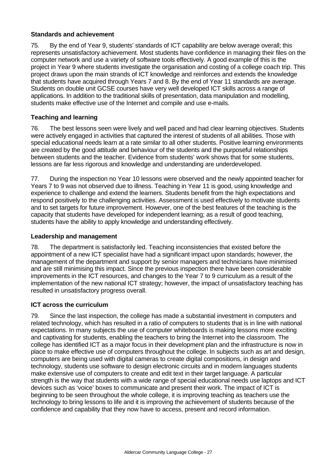## **Standards and achievement**

75. By the end of Year 9, students' standards of ICT capability are below average overall; this represents unsatisfactory achievement. Most students have confidence in managing their files on the computer network and use a variety of software tools effectively. A good example of this is the project in Year 9 where students investigate the organisation and costing of a college coach trip. This project draws upon the main strands of ICT knowledge and reinforces and extends the knowledge that students have acquired through Years 7 and 8. By the end of Year 11 standards are average. Students on double unit GCSE courses have very well developed ICT skills across a range of applications. In addition to the traditional skills of presentation, data manipulation and modelling, students make effective use of the Internet and compile and use e-mails.

## **Teaching and learning**

76. The best lessons seen were lively and well paced and had clear learning objectives. Students were actively engaged in activities that captured the interest of students of all abilities. Those with special educational needs learn at a rate similar to all other students. Positive learning environments are created by the good attitude and behaviour of the students and the purposeful relationships between students and the teacher. Evidence from students' work shows that for some students, lessons are far less rigorous and knowledge and understanding are underdeveloped.

77. During the inspection no Year 10 lessons were observed and the newly appointed teacher for Years 7 to 9 was not observed due to illness. Teaching in Year 11 is good, using knowledge and experience to challenge and extend the learners. Students benefit from the high expectations and respond positively to the challenging activities. Assessment is used effectively to motivate students and to set targets for future improvement. However, one of the best features of the teaching is the capacity that students have developed for independent learning; as a result of good teaching, students have the ability to apply knowledge and understanding effectively.

## **Leadership and management**

78. The department is satisfactorily led. Teaching inconsistencies that existed before the appointment of a new ICT specialist have had a significant impact upon standards; however, the management of the department and support by senior managers and technicians have minimised and are still minimising this impact. Since the previous inspection there have been considerable improvements in the ICT resources, and changes to the Year 7 to 9 curriculum as a result of the implementation of the new national ICT strategy; however, the impact of unsatisfactory teaching has resulted in unsatisfactory progress overall.

## **ICT across the curriculum**

79. Since the last inspection, the college has made a substantial investment in computers and related technology, which has resulted in a ratio of computers to students that is in line with national expectations. In many subjects the use of computer whiteboards is making lessons more exciting and captivating for students, enabling the teachers to bring the Internet into the classroom. The college has identified ICT as a major focus in their development plan and the infrastructure is now in place to make effective use of computers throughout the college. In subjects such as art and design, computers are being used with digital cameras to create digital compositions, in design and technology, students use software to design electronic circuits and in modern languages students make extensive use of computers to create and edit text in their target language. A particular strength is the way that students with a wide range of special educational needs use laptops and ICT devices such as 'voice' boxes to communicate and present their work. The impact of ICT is beginning to be seen throughout the whole college, it is improving teaching as teachers use the technology to bring lessons to life and it is improving the achievement of students because of the confidence and capability that they now have to access, present and record information.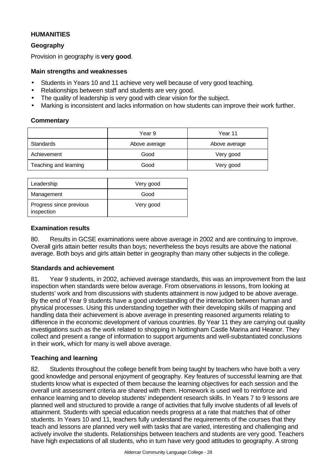## **HUMANITIES**

## **Geography**

Provision in geography is **very good**.

## **Main strengths and weaknesses**

- Students in Years 10 and 11 achieve very well because of very good teaching.
- Relationships between staff and students are very good.
- The quality of leadership is very good with clear vision for the subject.
- Marking is inconsistent and lacks information on how students can improve their work further.

#### **Commentary**

|                       | Year 9        | Year 11       |
|-----------------------|---------------|---------------|
| Standards             | Above average | Above average |
| Achievement           | Good          | Very good     |
| Teaching and learning | Good          | Very good     |

| Leadership                            | Very good |
|---------------------------------------|-----------|
| Management                            | Good      |
| Progress since previous<br>inspection | Very good |

#### **Examination results**

80. Results in GCSE examinations were above average in 2002 and are continuing to improve. Overall girls attain better results than boys; nevertheless the boys results are above the national average. Both boys and girls attain better in geography than many other subjects in the college.

## **Standards and achievement**

81. Year 9 students, in 2002, achieved average standards, this was an improvement from the last inspection when standards were below average. From observations in lessons, from looking at students' work and from discussions with students attainment is now judged to be above average. By the end of Year 9 students have a good understanding of the interaction between human and physical processes. Using this understanding together with their developing skills of mapping and handling data their achievement is above average in presenting reasoned arguments relating to difference in the economic development of various countries. By Year 11 they are carrying out quality investigations such as the work related to shopping in Nottingham Castle Marina and Heanor. They collect and present a range of information to support arguments and well-substantiated conclusions in their work, which for many is well above average.

## **Teaching and learning**

82. Students throughout the college benefit from being taught by teachers who have both a very good knowledge and personal enjoyment of geography. Key features of successful learning are that students know what is expected of them because the learning objectives for each session and the overall unit assessment criteria are shared with them. Homework is used well to reinforce and enhance learning and to develop students' independent research skills. In Years 7 to 9 lessons are planned well and structured to provide a range of activities that fully involve students of all levels of attainment. Students with special education needs progress at a rate that matches that of other students. In Years 10 and 11, teachers fully understand the requirements of the courses that they teach and lessons are planned very well with tasks that are varied, interesting and challenging and actively involve the students. Relationships between teachers and students are very good. Teachers have high expectations of all students, who in turn have very good attitudes to geography. A strong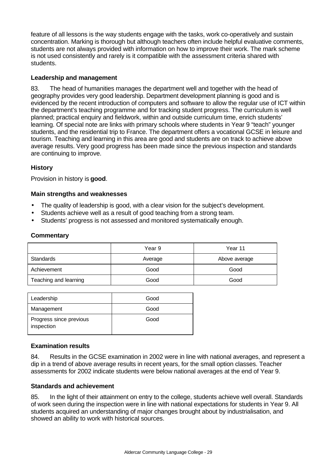feature of all lessons is the way students engage with the tasks, work co-operatively and sustain concentration. Marking is thorough but although teachers often include helpful evaluative comments, students are not always provided with information on how to improve their work. The mark scheme is not used consistently and rarely is it compatible with the assessment criteria shared with students.

## **Leadership and management**

83. The head of humanities manages the department well and together with the head of geography provides very good leadership. Department development planning is good and is evidenced by the recent introduction of computers and software to allow the regular use of ICT within the department's teaching programme and for tracking student progress. The curriculum is well planned; practical enquiry and fieldwork, within and outside curriculum time, enrich students' learning. Of special note are links with primary schools where students in Year 9 "teach" younger students, and the residential trip to France. The department offers a vocational GCSE in leisure and tourism. Teaching and learning in this area are good and students are on track to achieve above average results. Very good progress has been made since the previous inspection and standards are continuing to improve.

## **History**

Provision in history is **good**.

## **Main strengths and weaknesses**

- The quality of leadership is good, with a clear vision for the subject's development.
- Students achieve well as a result of good teaching from a strong team.
- Students' progress is not assessed and monitored systematically enough.

## **Commentary**

|                       | Year 9  | Year 11       |
|-----------------------|---------|---------------|
| Standards             | Average | Above average |
| Achievement           | Good    | Good          |
| Teaching and learning | Good    | Good          |

| Leadership                            | Good |
|---------------------------------------|------|
| Management                            | Good |
| Progress since previous<br>inspection | Good |

## **Examination results**

84. Results in the GCSE examination in 2002 were in line with national averages, and represent a dip in a trend of above average results in recent years, for the small option classes. Teacher assessments for 2002 indicate students were below national averages at the end of Year 9.

## **Standards and achievement**

85. In the light of their attainment on entry to the college, students achieve well overall. Standards of work seen during the inspection were in line with national expectations for students in Year 9. All students acquired an understanding of major changes brought about by industrialisation, and showed an ability to work with historical sources.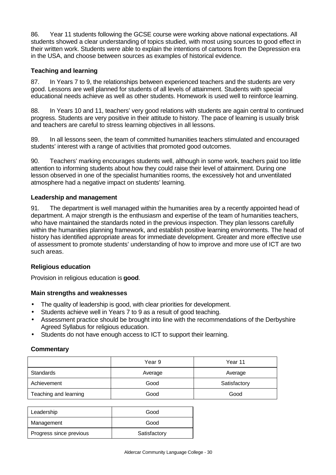86. Year 11 students following the GCSE course were working above national expectations. All students showed a clear understanding of topics studied, with most using sources to good effect in their written work. Students were able to explain the intentions of cartoons from the Depression era in the USA, and choose between sources as examples of historical evidence.

## **Teaching and learning**

87. In Years 7 to 9, the relationships between experienced teachers and the students are very good. Lessons are well planned for students of all levels of attainment. Students with special educational needs achieve as well as other students. Homework is used well to reinforce learning.

88. In Years 10 and 11, teachers' very good relations with students are again central to continued progress. Students are very positive in their attitude to history. The pace of learning is usually brisk and teachers are careful to stress learning objectives in all lessons.

89. In all lessons seen, the team of committed humanities teachers stimulated and encouraged students' interest with a range of activities that promoted good outcomes.

90. Teachers' marking encourages students well, although in some work, teachers paid too little attention to informing students about how they could raise their level of attainment. During one lesson observed in one of the specialist humanities rooms, the excessively hot and unventilated atmosphere had a negative impact on students' learning.

## **Leadership and management**

91. The department is well managed within the humanities area by a recently appointed head of department. A major strength is the enthusiasm and expertise of the team of humanities teachers, who have maintained the standards noted in the previous inspection. They plan lessons carefully within the humanities planning framework, and establish positive learning environments. The head of history has identified appropriate areas for immediate development. Greater and more effective use of assessment to promote students' understanding of how to improve and more use of ICT are two such areas.

## **Religious education**

Provision in religious education is **good**.

## **Main strengths and weaknesses**

- The quality of leadership is good, with clear priorities for development.
- Students achieve well in Years 7 to 9 as a result of good teaching.
- Assessment practice should be brought into line with the recommendations of the Derbyshire Agreed Syllabus for religious education.
- Students do not have enough access to ICT to support their learning.

## **Commentary**

|                       | Year 9  | Year 11      |
|-----------------------|---------|--------------|
| Standards             | Average | Average      |
| Achievement           | Good    | Satisfactory |
| Teaching and learning | Good    | Good         |

| Leadership              | Good         |
|-------------------------|--------------|
| Management              | Good         |
| Progress since previous | Satisfactory |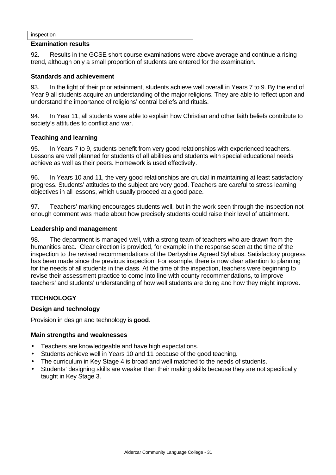| inspection |  |
|------------|--|

#### **Examination results**

92. Results in the GCSE short course examinations were above average and continue a rising trend, although only a small proportion of students are entered for the examination.

#### **Standards and achievement**

93. In the light of their prior attainment, students achieve well overall in Years 7 to 9. By the end of Year 9 all students acquire an understanding of the major religions. They are able to reflect upon and understand the importance of religions' central beliefs and rituals.

94. In Year 11, all students were able to explain how Christian and other faith beliefs contribute to society's attitudes to conflict and war.

#### **Teaching and learning**

95. In Years 7 to 9, students benefit from very good relationships with experienced teachers. Lessons are well planned for students of all abilities and students with special educational needs achieve as well as their peers. Homework is used effectively.

96. In Years 10 and 11, the very good relationships are crucial in maintaining at least satisfactory progress. Students' attitudes to the subject are very good. Teachers are careful to stress learning objectives in all lessons, which usually proceed at a good pace.

97. Teachers' marking encourages students well, but in the work seen through the inspection not enough comment was made about how precisely students could raise their level of attainment.

## **Leadership and management**

98. The department is managed well, with a strong team of teachers who are drawn from the humanities area. Clear direction is provided, for example in the response seen at the time of the inspection to the revised recommendations of the Derbyshire Agreed Syllabus. Satisfactory progress has been made since the previous inspection. For example, there is now clear attention to planning for the needs of all students in the class. At the time of the inspection, teachers were beginning to revise their assessment practice to come into line with county recommendations, to improve teachers' and students' understanding of how well students are doing and how they might improve.

## **TECHNOLOGY**

## **Design and technology**

Provision in design and technology is **good**.

#### **Main strengths and weaknesses**

- Teachers are knowledgeable and have high expectations.
- Students achieve well in Years 10 and 11 because of the good teaching.
- The curriculum in Key Stage 4 is broad and well matched to the needs of students.
- Students' designing skills are weaker than their making skills because they are not specifically taught in Key Stage 3.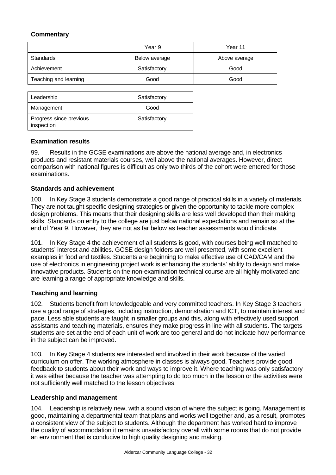# **Commentary**

|                       | Year 9        | Year 11       |
|-----------------------|---------------|---------------|
| Standards             | Below average | Above average |
| Achievement           | Satisfactory  | Good          |
| Teaching and learning | Good          | Good          |

| Leadership                            | Satisfactory |
|---------------------------------------|--------------|
| Management                            | Good         |
| Progress since previous<br>inspection | Satisfactory |

## **Examination results**

99. Results in the GCSE examinations are above the national average and, in electronics products and resistant materials courses, well above the national averages. However, direct comparison with national figures is difficult as only two thirds of the cohort were entered for those examinations.

## **Standards and achievement**

100. In Key Stage 3 students demonstrate a good range of practical skills in a variety of materials. They are not taught specific designing strategies or given the opportunity to tackle more complex design problems. This means that their designing skills are less well developed than their making skills. Standards on entry to the college are just below national expectations and remain so at the end of Year 9. However, they are not as far below as teacher assessments would indicate.

101. In Key Stage 4 the achievement of all students is good, with courses being well matched to students' interest and abilities. GCSE design folders are well presented, with some excellent examples in food and textiles. Students are beginning to make effective use of CAD/CAM and the use of electronics in engineering project work is enhancing the students' ability to design and make innovative products. Students on the non-examination technical course are all highly motivated and are learning a range of appropriate knowledge and skills.

## **Teaching and learning**

102. Students benefit from knowledgeable and very committed teachers. In Key Stage 3 teachers use a good range of strategies, including instruction, demonstration and ICT, to maintain interest and pace. Less able students are taught in smaller groups and this, along with effectively used support assistants and teaching materials, ensures they make progress in line with all students. The targets students are set at the end of each unit of work are too general and do not indicate how performance in the subject can be improved.

103. In Key Stage 4 students are interested and involved in their work because of the varied curriculum on offer. The working atmosphere in classes is always good. Teachers provide good feedback to students about their work and ways to improve it. Where teaching was only satisfactory it was either because the teacher was attempting to do too much in the lesson or the activities were not sufficiently well matched to the lesson objectives.

## **Leadership and management**

104. Leadership is relatively new, with a sound vision of where the subject is going. Management is good, maintaining a departmental team that plans and works well together and, as a result, promotes a consistent view of the subject to students. Although the department has worked hard to improve the quality of accommodation it remains unsatisfactory overall with some rooms that do not provide an environment that is conducive to high quality designing and making.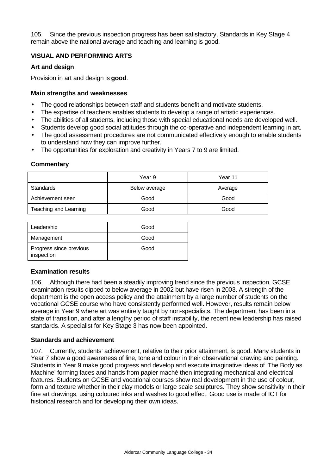105. Since the previous inspection progress has been satisfactory. Standards in Key Stage 4 remain above the national average and teaching and learning is good.

## **VISUAL AND PERFORMING ARTS**

#### **Art and design**

Provision in art and design is **good**.

#### **Main strengths and weaknesses**

- The good relationships between staff and students benefit and motivate students.
- The expertise of teachers enables students to develop a range of artistic experiences.
- The abilities of all students, including those with special educational needs are developed well.
- Students develop good social attitudes through the co-operative and independent learning in art.
- The good assessment procedures are not communicated effectively enough to enable students to understand how they can improve further.
- The opportunities for exploration and creativity in Years 7 to 9 are limited.

#### **Commentary**

|                       | Year 9        | Year 11 |
|-----------------------|---------------|---------|
| Standards             | Below average | Average |
| Achievement seen      | Good          | Good    |
| Teaching and Learning | Good          | Good    |

| Leadership                            | Good |
|---------------------------------------|------|
| Management                            | Good |
| Progress since previous<br>inspection | Good |

## **Examination results**

106. Although there had been a steadily improving trend since the previous inspection, GCSE examination results dipped to below average in 2002 but have risen in 2003. A strength of the department is the open access policy and the attainment by a large number of students on the vocational GCSE course who have consistently performed well. However, results remain below average in Year 9 where art was entirely taught by non-specialists. The department has been in a state of transition, and after a lengthy period of staff instability, the recent new leadership has raised standards. A specialist for Key Stage 3 has now been appointed.

#### **Standards and achievement**

107. Currently, students' achievement, relative to their prior attainment, is good. Many students in Year 7 show a good awareness of line, tone and colour in their observational drawing and painting. Students in Year 9 make good progress and develop and execute imaginative ideas of 'The Body as Machine' forming faces and hands from papier machè then integrating mechanical and electrical features. Students on GCSE and vocational courses show real development in the use of colour, form and texture whether in their clay models or large scale sculptures. They show sensitivity in their fine art drawings, using coloured inks and washes to good effect. Good use is made of ICT for historical research and for developing their own ideas.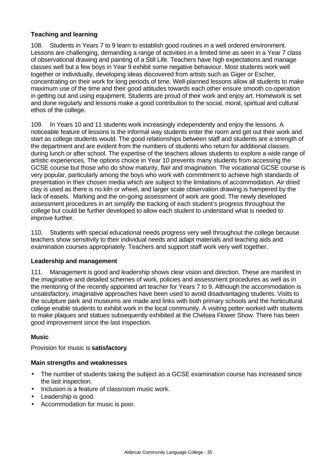## **Teaching and learning**

108. Students in Years 7 to 9 learn to establish good routines in a well ordered environment. Lessons are challenging, demanding a range of activities in a limited time as seen in a Year 7 class of observational drawing and painting of a Still Life. Teachers have high expectations and manage classes well but a few boys in Year 9 exhibit some negative behaviour. Most students work well together or individually, developing ideas discovered from artists such as Giger or Escher, concentrating on their work for long periods of time. Well-planned lessons allow all students to make maximum use of the time and their good attitudes towards each other ensure smooth co-operation in getting out and using equipment. Students are proud of their work and enjoy art. Homework is set and done regularly and lessons make a good contribution to the social, moral, spiritual and cultural ethos of the college.

109. In Years 10 and 11 students work increasingly independently and enjoy the lessons. A noticeable feature of lessons is the informal way students enter the room and get out their work and start as college students would. The good relationships between staff and students are a strength of the department and are evident from the numbers of students who return for additional classes during lunch or after school. The expertise of the teachers allows students to explore a wide range of artistic experiences. The options choice in Year 10 prevents many students from accessing the GCSE course but those who do show maturity, flair and imagination. The vocational GCSE course is very popular, particularly among the boys who work with commitment to achieve high standards of presentation in their chosen media which are subject to the limitations of accommodation. Air dried clay is used as there is no kiln or wheel, and larger scale observation drawing is hampered by the lack of easels. Marking and the on-going assessment of work are good. The newly developed assessment procedures in art simplify the tracking of each student's progress throughout the college but could be further developed to allow each student to understand what is needed to improve further.

110. Students with special educational needs progress very well throughout the college because teachers show sensitivity to their individual needs and adapt materials and teaching aids and examination courses appropriately. Teachers and support staff work very well together.

## **Leadership and management**

111. Management is good and leadership shows clear vision and direction. These are manifest in the imaginative and detailed schemes of work, policies and assessment procedures as well as in the mentoring of the recently appointed art teacher for Years 7 to 9. Although the accommodation is unsatisfactory, imaginative approaches have been used to avoid disadvantaging students. Visits to the sculpture park and museums are made and links with both primary schools and the horticultural college enable students to exhibit work in the local community. A visiting potter worked with students to make plaques and statues subsequently exhibited at the Chelsea Flower Show. There has been good improvement since the last inspection.

## **Music**

Provision for music is **satisfactory**.

#### **Main strengths and weaknesses**

- The number of students taking the subject as a GCSE examination course has increased since the last inspection.
- Inclusion is a feature of classroom music work.
- Leadership is good.
- Accommodation for music is poor.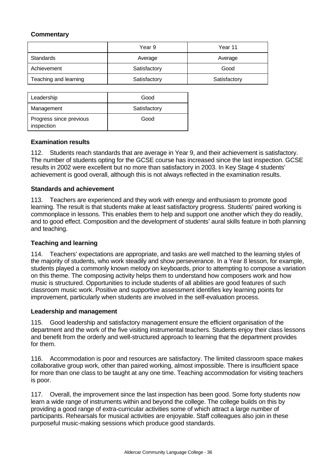## **Commentary**

|                       | Year 9       | Year 11      |
|-----------------------|--------------|--------------|
| Standards             | Average      | Average      |
| Achievement           | Satisfactory | Good         |
| Teaching and learning | Satisfactory | Satisfactory |

| Leadership                            | Good         |
|---------------------------------------|--------------|
| Management                            | Satisfactory |
| Progress since previous<br>inspection | Good         |

## **Examination results**

112. Students reach standards that are average in Year 9, and their achievement is satisfactory. The number of students opting for the GCSE course has increased since the last inspection. GCSE results in 2002 were excellent but no more than satisfactory in 2003. In Key Stage 4 students' achievement is good overall, although this is not always reflected in the examination results.

## **Standards and achievement**

113. Teachers are experienced and they work with energy and enthusiasm to promote good learning. The result is that students make at least satisfactory progress. Students' paired working is commonplace in lessons. This enables them to help and support one another which they do readily, and to good effect. Composition and the development of students' aural skills feature in both planning and teaching.

## **Teaching and learning**

114. Teachers' expectations are appropriate, and tasks are well matched to the learning styles of the majority of students, who work steadily and show perseverance. In a Year 8 lesson, for example, students played a commonly known melody on keyboards, prior to attempting to compose a variation on this theme. The composing activity helps them to understand how composers work and how music is structured. Opportunities to include students of all abilities are good features of such classroom music work. Positive and supportive assessment identifies key learning points for improvement, particularly when students are involved in the self-evaluation process.

## **Leadership and management**

115. Good leadership and satisfactory management ensure the efficient organisation of the department and the work of the five visiting instrumental teachers. Students enjoy their class lessons and benefit from the orderly and well-structured approach to learning that the department provides for them.

116. Accommodation is poor and resources are satisfactory. The limited classroom space makes collaborative group work, other than paired working, almost impossible. There is insufficient space for more than one class to be taught at any one time. Teaching accommodation for visiting teachers is poor.

117. Overall, the improvement since the last inspection has been good. Some forty students now learn a wide range of instruments within and beyond the college. The college builds on this by providing a good range of extra-curricular activities some of which attract a large number of participants. Rehearsals for musical activities are enjoyable. Staff colleagues also join in these purposeful music-making sessions which produce good standards.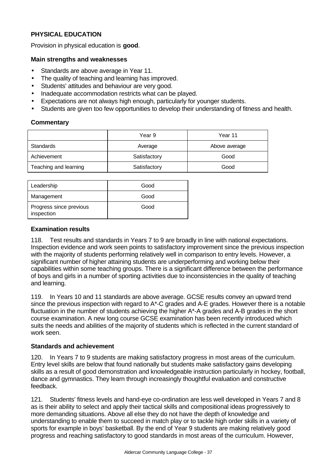# **PHYSICAL EDUCATION**

Provision in physical education is **good**.

## **Main strengths and weaknesses**

- Standards are above average in Year 11.
- The quality of teaching and learning has improved.
- Students' attitudes and behaviour are very good.
- Inadequate accommodation restricts what can be played.
- Expectations are not always high enough, particularly for younger students.
- Students are given too few opportunities to develop their understanding of fitness and health.

## **Commentary**

|                       | Year 9       | Year 11       |
|-----------------------|--------------|---------------|
| Standards             | Average      | Above average |
| Achievement           | Satisfactory | Good          |
| Teaching and learning | Satisfactory | Good          |

| Leadership                            | Good |
|---------------------------------------|------|
| Management                            | Good |
| Progress since previous<br>inspection | Good |

## **Examination results**

118. Test results and standards in Years 7 to 9 are broadly in line with national expectations. Inspection evidence and work seen points to satisfactory improvement since the previous inspection with the majority of students performing relatively well in comparison to entry levels. However, a significant number of higher attaining students are underperforming and working below their capabilities within some teaching groups. There is a significant difference between the performance of boys and girls in a number of sporting activities due to inconsistencies in the quality of teaching and learning.

119. In Years 10 and 11 standards are above average. GCSE results convey an upward trend since the previous inspection with regard to A\*-C grades and A-E grades. However there is a notable fluctuation in the number of students achieving the higher A\*-A grades and A-B grades in the short course examination. A new long course GCSE examination has been recently introduced which suits the needs and abilities of the majority of students which is reflected in the current standard of work seen.

## **Standards and achievement**

120. In Years 7 to 9 students are making satisfactory progress in most areas of the curriculum. Entry level skills are below that found nationally but students make satisfactory gains developing skills as a result of good demonstration and knowledgeable instruction particularly in hockey, football, dance and gymnastics. They learn through increasingly thoughtful evaluation and constructive feedback.

121. Students' fitness levels and hand-eye co-ordination are less well developed in Years 7 and 8 as is their ability to select and apply their tactical skills and compositional ideas progressively to more demanding situations. Above all else they do not have the depth of knowledge and understanding to enable them to succeed in match play or to tackle high order skills in a variety of sports for example in boys' basketball. By the end of Year 9 students are making relatively good progress and reaching satisfactory to good standards in most areas of the curriculum. However,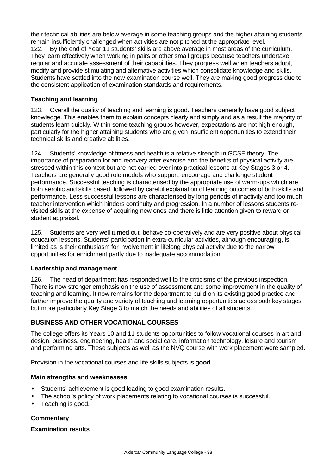their technical abilities are below average in some teaching groups and the higher attaining students remain insufficiently challenged when activities are not pitched at the appropriate level. 122. By the end of Year 11 students' skills are above average in most areas of the curriculum. They learn effectively when working in pairs or other small groups because teachers undertake regular and accurate assessment of their capabilities. They progress well when teachers adopt, modify and provide stimulating and alternative activities which consolidate knowledge and skills. Students have settled into the new examination course well. They are making good progress due to the consistent application of examination standards and requirements.

## **Teaching and learning**

123. Overall the quality of teaching and learning is good. Teachers generally have good subject knowledge. This enables them to explain concepts clearly and simply and as a result the majority of students learn quickly. Within some teaching groups however, expectations are not high enough, particularly for the higher attaining students who are given insufficient opportunities to extend their technical skills and creative abilities.

124. Students' knowledge of fitness and health is a relative strength in GCSE theory. The importance of preparation for and recovery after exercise and the benefits of physical activity are stressed within this context but are not carried over into practical lessons at Key Stages 3 or 4. Teachers are generally good role models who support, encourage and challenge student performance. Successful teaching is characterised by the appropriate use of warm-ups which are both aerobic and skills based, followed by careful explanation of learning outcomes of both skills and performance. Less successful lessons are characterised by long periods of inactivity and too much teacher intervention which hinders continuity and progression. In a number of lessons students revisited skills at the expense of acquiring new ones and there is little attention given to reward or student appraisal.

125. Students are very well turned out, behave co-operatively and are very positive about physical education lessons. Students' participation in extra-curricular activities, although encouraging, is limited as is their enthusiasm for involvement in lifelong physical activity due to the narrow opportunities for enrichment partly due to inadequate accommodation.

## **Leadership and management**

126. The head of department has responded well to the criticisms of the previous inspection. There is now stronger emphasis on the use of assessment and some improvement in the quality of teaching and learning. It now remains for the department to build on its existing good practice and further improve the quality and variety of teaching and learning opportunities across both key stages but more particularly Key Stage 3 to match the needs and abilities of all students.

## **BUSINESS AND OTHER VOCATIONAL COURSES**

The college offers its Years 10 and 11 students opportunities to follow vocational courses in art and design, business, engineering, health and social care, information technology, leisure and tourism and performing arts. These subjects as well as the NVQ course with work placement were sampled.

Provision in the vocational courses and life skills subjects is **good**.

## **Main strengths and weaknesses**

- Students' achievement is good leading to good examination results.
- The school's policy of work placements relating to vocational courses is successful.
- Teaching is good.

## **Commentary**

## **Examination results**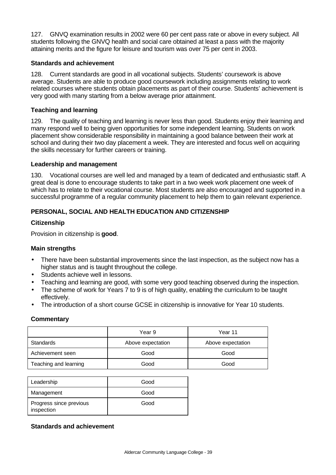127. GNVQ examination results in 2002 were 60 per cent pass rate or above in every subject. All students following the GNVQ health and social care obtained at least a pass with the majority attaining merits and the figure for leisure and tourism was over 75 per cent in 2003.

## **Standards and achievement**

128. Current standards are good in all vocational subjects. Students' coursework is above average. Students are able to produce good coursework including assignments relating to work related courses where students obtain placements as part of their course. Students' achievement is very good with many starting from a below average prior attainment.

## **Teaching and learning**

129. The quality of teaching and learning is never less than good. Students enjoy their learning and many respond well to being given opportunities for some independent learning. Students on work placement show considerable responsibility in maintaining a good balance between their work at school and during their two day placement a week. They are interested and focus well on acquiring the skills necessary for further careers or training.

## **Leadership and management**

130. Vocational courses are well led and managed by a team of dedicated and enthusiastic staff. A great deal is done to encourage students to take part in a two week work placement one week of which has to relate to their vocational course. Most students are also encouraged and supported in a successful programme of a regular community placement to help them to gain relevant experience.

## **PERSONAL, SOCIAL AND HEALTH EDUCATION AND CITIZENSHIP**

## **Citizenship**

Provision in citizenship is **good**.

## **Main strengths**

- There have been substantial improvements since the last inspection, as the subject now has a higher status and is taught throughout the college.
- Students achieve well in lessons.
- Teaching and learning are good, with some very good teaching observed during the inspection.
- The scheme of work for Years 7 to 9 is of high quality, enabling the curriculum to be taught effectively.
- The introduction of a short course GCSE in citizenship is innovative for Year 10 students.

## **Commentary**

|                       | Year 9            | Year 11           |
|-----------------------|-------------------|-------------------|
| Standards             | Above expectation | Above expectation |
| Achievement seen      | Good              | Good              |
| Teaching and learning | Good              | Good              |

| Leadership                            | Good |
|---------------------------------------|------|
| Management                            | Good |
| Progress since previous<br>inspection | Good |

## **Standards and achievement**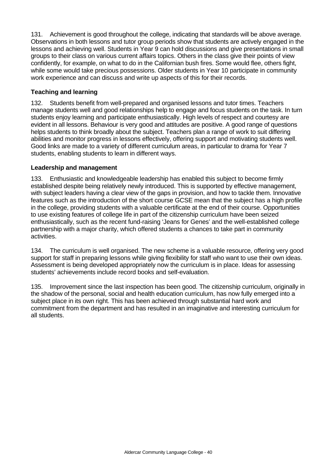131. Achievement is good throughout the college, indicating that standards will be above average. Observations in both lessons and tutor group periods show that students are actively engaged in the lessons and achieving well. Students in Year 9 can hold discussions and give presentations in small groups to their class on various current affairs topics. Others in the class give their points of view confidently, for example, on what to do in the Californian bush fires. Some would flee, others fight, while some would take precious possessions. Older students in Year 10 participate in community work experience and can discuss and write up aspects of this for their records.

## **Teaching and learning**

132. Students benefit from well-prepared and organised lessons and tutor times. Teachers manage students well and good relationships help to engage and focus students on the task. In turn students enjoy learning and participate enthusiastically. High levels of respect and courtesy are evident in all lessons. Behaviour is very good and attitudes are positive. A good range of questions helps students to think broadly about the subject. Teachers plan a range of work to suit differing abilities and monitor progress in lessons effectively, offering support and motivating students well. Good links are made to a variety of different curriculum areas, in particular to drama for Year 7 students, enabling students to learn in different ways.

## **Leadership and management**

133. Enthusiastic and knowledgeable leadership has enabled this subject to become firmly established despite being relatively newly introduced. This is supported by effective management, with subject leaders having a clear view of the gaps in provision, and how to tackle them. Innovative features such as the introduction of the short course GCSE mean that the subject has a high profile in the college, providing students with a valuable certificate at the end of their course. Opportunities to use existing features of college life in part of the citizenship curriculum have been seized enthusiastically, such as the recent fund-raising 'Jeans for Genes' and the well-established college partnership with a major charity, which offered students a chances to take part in community activities.

134. The curriculum is well organised. The new scheme is a valuable resource, offering very good support for staff in preparing lessons while giving flexibility for staff who want to use their own ideas. Assessment is being developed appropriately now the curriculum is in place. Ideas for assessing students' achievements include record books and self-evaluation.

135. Improvement since the last inspection has been good. The citizenship curriculum, originally in the shadow of the personal, social and health education curriculum, has now fully emerged into a subject place in its own right. This has been achieved through substantial hard work and commitment from the department and has resulted in an imaginative and interesting curriculum for all students.